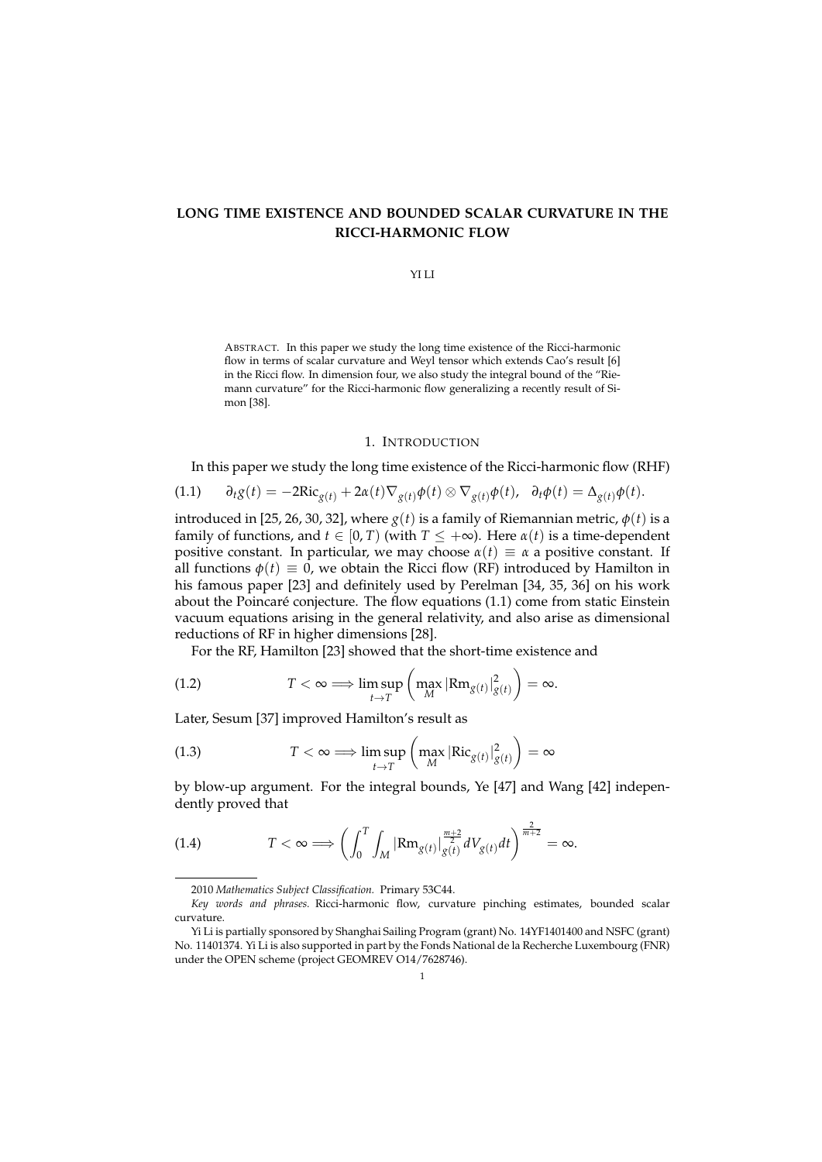# **LONG TIME EXISTENCE AND BOUNDED SCALAR CURVATURE IN THE RICCI-HARMONIC FLOW**

#### YI LI

ABSTRACT. In this paper we study the long time existence of the Ricci-harmonic flow in terms of scalar curvature and Weyl tensor which extends Cao's result [6] in the Ricci flow. In dimension four, we also study the integral bound of the "Riemann curvature" for the Ricci-harmonic flow generalizing a recently result of Simon [38].

### 1. INTRODUCTION

In this paper we study the long time existence of the Ricci-harmonic flow (RHF)

$$
(1.1) \qquad \partial_t g(t) = -2\mathrm{Ric}_{g(t)} + 2\alpha(t)\nabla_{g(t)}\phi(t) \otimes \nabla_{g(t)}\phi(t), \quad \partial_t \phi(t) = \Delta_{g(t)}\phi(t).
$$

introduced in [25, 26, 30, 32], where  $g(t)$  is a family of Riemannian metric,  $\phi(t)$  is a family of functions, and  $t \in [0, T)$  (with  $T \leq +\infty$ ). Here  $\alpha(t)$  is a time-dependent positive constant. In particular, we may choose  $\alpha(t) \equiv \alpha$  a positive constant. If all functions  $\phi(t) \equiv 0$ , we obtain the Ricci flow (RF) introduced by Hamilton in his famous paper [23] and definitely used by Perelman [34, 35, 36] on his work about the Poincaré conjecture. The flow equations  $(1.1)$  come from static Einstein vacuum equations arising in the general relativity, and also arise as dimensional reductions of RF in higher dimensions [28].

For the RF, Hamilton [23] showed that the short-time existence and

(1.2) 
$$
T < \infty \Longrightarrow \limsup_{t \to T} \left( \max_{M} |\text{Rm}_{g(t)}|_{g(t)}^2 \right) = \infty.
$$

Later, Sesum [37] improved Hamilton's result as

(1.3) 
$$
T < \infty \Longrightarrow \limsup_{t \to T} \left( \max_{M} |\text{Ric}_{g(t)}|_{g(t)}^2 \right) = \infty
$$

by blow-up argument. For the integral bounds, Ye [47] and Wang [42] independently proved that

$$
(1.4) \tT<\infty \Longrightarrow \left(\int_0^T \int_M |\text{Rm}_{g(t)}|_{g(t)}^{\frac{m+2}{2}} dV_{g(t)} dt\right)^{\frac{2}{m+2}} = \infty.
$$

<sup>2010</sup> *Mathematics Subject Classification.* Primary 53C44.

*Key words and phrases.* Ricci-harmonic flow, curvature pinching estimates, bounded scalar curvature.

Yi Li is partially sponsored by Shanghai Sailing Program (grant) No. 14YF1401400 and NSFC (grant) No. 11401374. Yi Li is also supported in part by the Fonds National de la Recherche Luxembourg (FNR) under the OPEN scheme (project GEOMREV O14/7628746).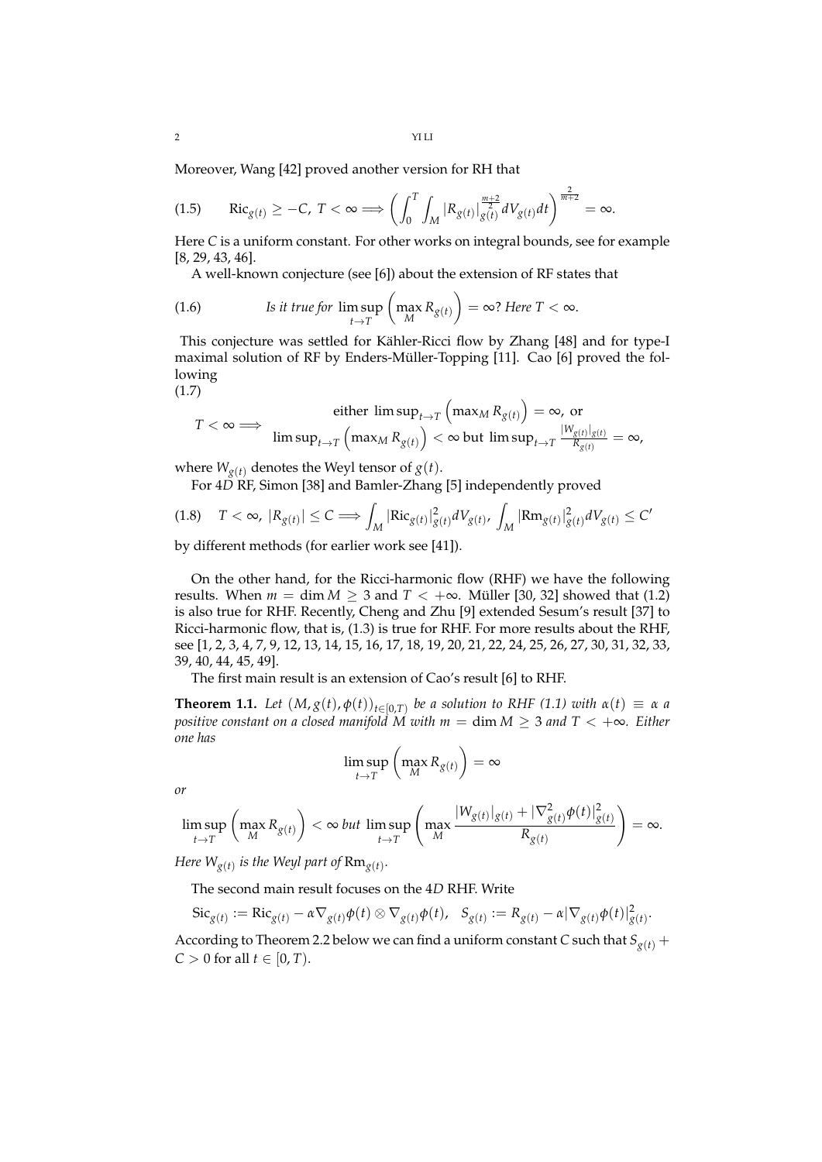Moreover, Wang [42] proved another version for RH that

$$
(1.5) \qquad \mathrm{Ric}_{g(t)} \geq -C, \ T < \infty \Longrightarrow \left( \int_0^T \int_M |R_{g(t)}| \frac{m+2}{g(t)} dV_{g(t)} dt \right)^{\frac{2}{m+2}} = \infty.
$$

Here *C* is a uniform constant. For other works on integral bounds, see for example [8, 29, 43, 46].

A well-known conjecture (see [6]) about the extension of RF states that

(1.6) Is it true for 
$$
\limsup_{t \to T} \left( \max_{M} R_{g(t)} \right) = \infty
$$
? Here  $T < \infty$ .

This conjecture was settled for Kähler-Ricci flow by Zhang [48] and for type-I maximal solution of RF by Enders-Müller-Topping [11]. Cao [6] proved the following (1.7)

$$
T < \infty \Longrightarrow \text{ either } \limsup_{t \to T} \left( \max_{M} R_{g(t)} \right) = \infty, \text{ or } \\ \limsup_{t \to T} \left( \max_{M} R_{g(t)} \right) < \infty \text{ but } \limsup_{t \to T} \frac{|W_{g(t)}|_{g(t)}}{R_{g(t)}} = \infty,
$$

where  $W_{g(t)}$  denotes the Weyl tensor of  $g(t)$ .

For 4*D* RF, Simon [38] and Bamler-Zhang [5] independently proved

$$
(1.8) \quad T < \infty, \ |R_{g(t)}| \le C \Longrightarrow \int_M |\text{Ric}_{g(t)}|_{g(t)}^2 dV_{g(t)}, \ \int_M |\text{Rm}_{g(t)}|_{g(t)}^2 dV_{g(t)} \le C'
$$

by different methods (for earlier work see [41]).

On the other hand, for the Ricci-harmonic flow (RHF) we have the following results. When  $m = \dim M \geq 3$  and  $T < +\infty$ . Müller [30, 32] showed that (1.2) is also true for RHF. Recently, Cheng and Zhu [9] extended Sesum's result [37] to Ricci-harmonic flow, that is, (1.3) is true for RHF. For more results about the RHF, see [1, 2, 3, 4, 7, 9, 12, 13, 14, 15, 16, 17, 18, 19, 20, 21, 22, 24, 25, 26, 27, 30, 31, 32, 33, 39, 40, 44, 45, 49].

The first main result is an extension of Cao's result [6] to RHF.

**Theorem 1.1.** Let  $(M, g(t), \phi(t))_{t \in [0,T)}$  be a solution to RHF (1.1) with  $\alpha(t) \equiv \alpha$  a *positive constant on a closed manifold M with*  $m = \dim M \geq 3$  *and*  $T < +\infty$ *. Either one has*

$$
\limsup_{t \to T} \left( \max_{M} R_{g(t)} \right) = \infty
$$

*or*

$$
\limsup_{t\to T}\left(\max_{M}R_{g(t)}\right)<\infty\,\text{but}\,\limsup_{t\to T}\left(\max_{M}\frac{|W_{g(t)}|_{g(t)}+|\nabla^2_{g(t)}\phi(t)|^2_{g(t)}}{R_{g(t)}}\right)=\infty.
$$

*Here*  $W_{g(t)}$  *is the Weyl part of*  ${\rm Rm}_{g(t)}.$ 

The second main result focuses on the 4*D* RHF. Write

$$
Sic_{g(t)} := \mathrm{Ric}_{g(t)} - \alpha \nabla_{g(t)} \phi(t) \otimes \nabla_{g(t)} \phi(t), \quad S_{g(t)} := R_{g(t)} - \alpha |\nabla_{g(t)} \phi(t)|_{g(t)}^2.
$$

According to Theorem 2.2 below we can find a uniform constant *C* such that  $S_{g(t)}$  +  $C > 0$  for all  $t \in [0, T)$ .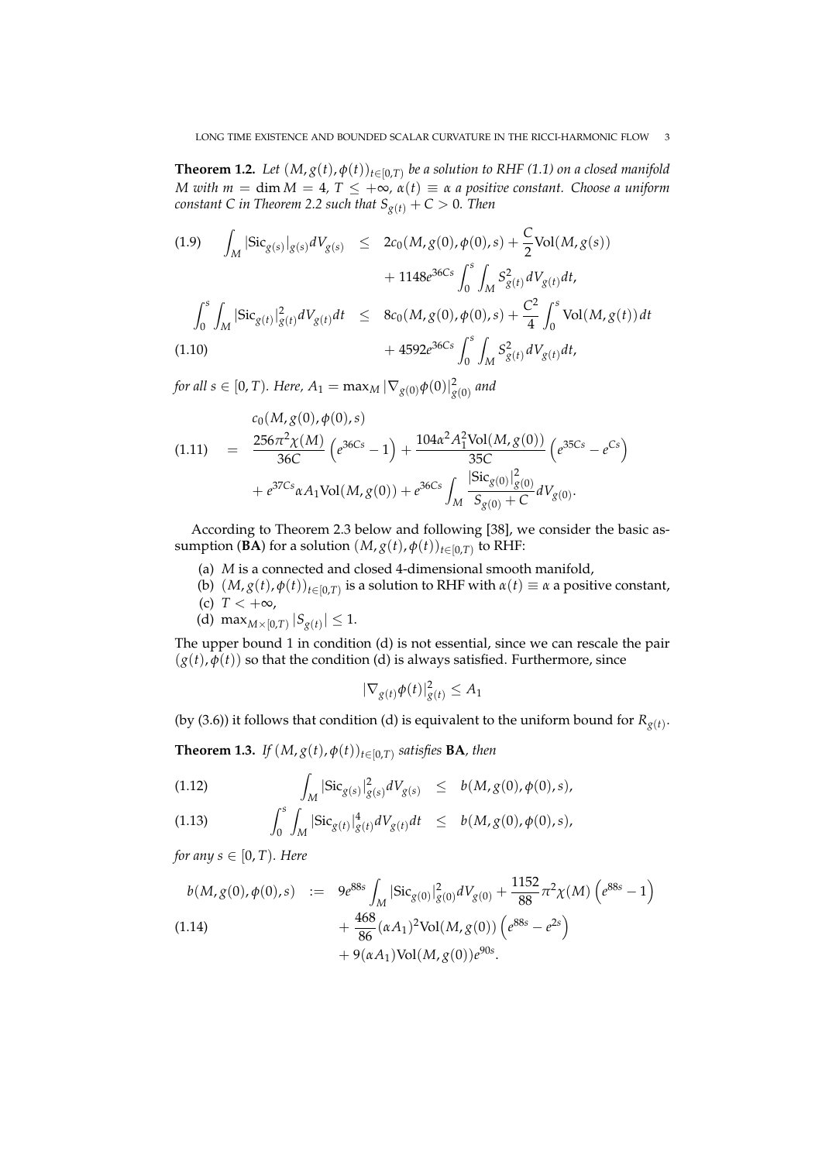**Theorem 1.2.** Let  $(M, g(t), \phi(t))_{t \in [0,T)}$  be a solution to RHF (1.1) on a closed manifold *M* with  $m = \dim M = 4$ ,  $T \leq +\infty$ ,  $\alpha(t) \equiv \alpha$  *a* positive constant. Choose a uniform *constant C in Theorem 2.2 such that*  $S_{g(t)} + C > 0$ *. Then* 

(1.9) 
$$
\int_{M} |\text{Sic}_{g(s)}|_{g(s)} dV_{g(s)} \leq 2c_{0}(M, g(0), \phi(0), s) + \frac{C}{2} \text{Vol}(M, g(s)) + 1148e^{36Cs} \int_{0}^{s} \int_{M} S_{g(t)}^{2} dV_{g(t)} dt, \n\int_{0}^{s} \int_{M} |\text{Sic}_{g(t)}|_{g(t)}^{2} dV_{g(t)} dt \leq 8c_{0}(M, g(0), \phi(0), s) + \frac{C^{2}}{4} \int_{0}^{s} \text{Vol}(M, g(t)) dt + 4592e^{36Cs} \int_{0}^{s} \int_{M} S_{g(t)}^{2} dV_{g(t)} dt,
$$

for all  $s\in[0,T)$ *. Here,*  $A_1=\max_M|\nabla_{g(0)}\phi(0)|^2_{g(0)}$  *and* 

(1.11) 
$$
= \frac{256\pi^2 \chi(M)}{36C} \left(e^{36Cs} - 1\right) + \frac{104\alpha^2 A_1^2 \text{Vol}(M, g(0))}{35C} \left(e^{35Cs} - e^{Cs}\right) + e^{37Cs}\alpha A_1 \text{Vol}(M, g(0)) + e^{36Cs} \int_M \frac{|\text{Sic}_{g(0)}|_g^2(0)}{S_{g(0)} + C} dV_{g(0)}.
$$

According to Theorem 2.3 below and following [38], we consider the basic assumption (**BA**) for a solution  $(M, g(t), \phi(t))_{t \in [0, T)}$  to RHF:

- (a) *M* is a connected and closed 4-dimensional smooth manifold,
- (b)  $(M, g(t), \phi(t))_{t \in [0,T)}$  is a solution to RHF with  $\alpha(t) \equiv \alpha$  a positive constant,
- (c)  $T < +\infty$ ,
- (d) max $_{M\times[0,T)}$   $|S_{g(t)}| \leq 1$ .

The upper bound 1 in condition (d) is not essential, since we can rescale the pair  $(g(t), \overline{\phi}(t))$  so that the condition (d) is always satisfied. Furthermore, since

$$
|\nabla_{g(t)}\phi(t)|_{g(t)}^2 \le A_1
$$

(by (3.6)) it follows that condition (d) is equivalent to the uniform bound for  $R_{g(t)}$ .

**Theorem 1.3.** *If*  $(M, g(t), \phi(t))_{t \in [0,T)}$  satisfies **BA**, then

(1.12) 
$$
\int_M |\text{Sic}_{g(s)}|^2_{g(s)} dV_{g(s)} \leq b(M, g(0), \phi(0), s),
$$

(1.13) 
$$
\int_0^s \int_M |\text{Sic}_{g(t)}|_{g(t)}^4 dV_{g(t)} dt \leq b(M, g(0), \phi(0), s),
$$

*for any s*  $\in$  [0, *T*)*. Here* 

$$
b(M, g(0), \phi(0), s) := 9e^{88s} \int_M |\text{Sic}_{g(0)}|^2_{g(0)} dV_{g(0)} + \frac{1152}{88} \pi^2 \chi(M) \left( e^{88s} - 1 \right)
$$
  
\n
$$
+ \frac{468}{86} (\alpha A_1)^2 \text{Vol}(M, g(0)) \left( e^{88s} - e^{2s} \right)
$$
  
\n
$$
+ 9(\alpha A_1) \text{Vol}(M, g(0)) e^{90s}.
$$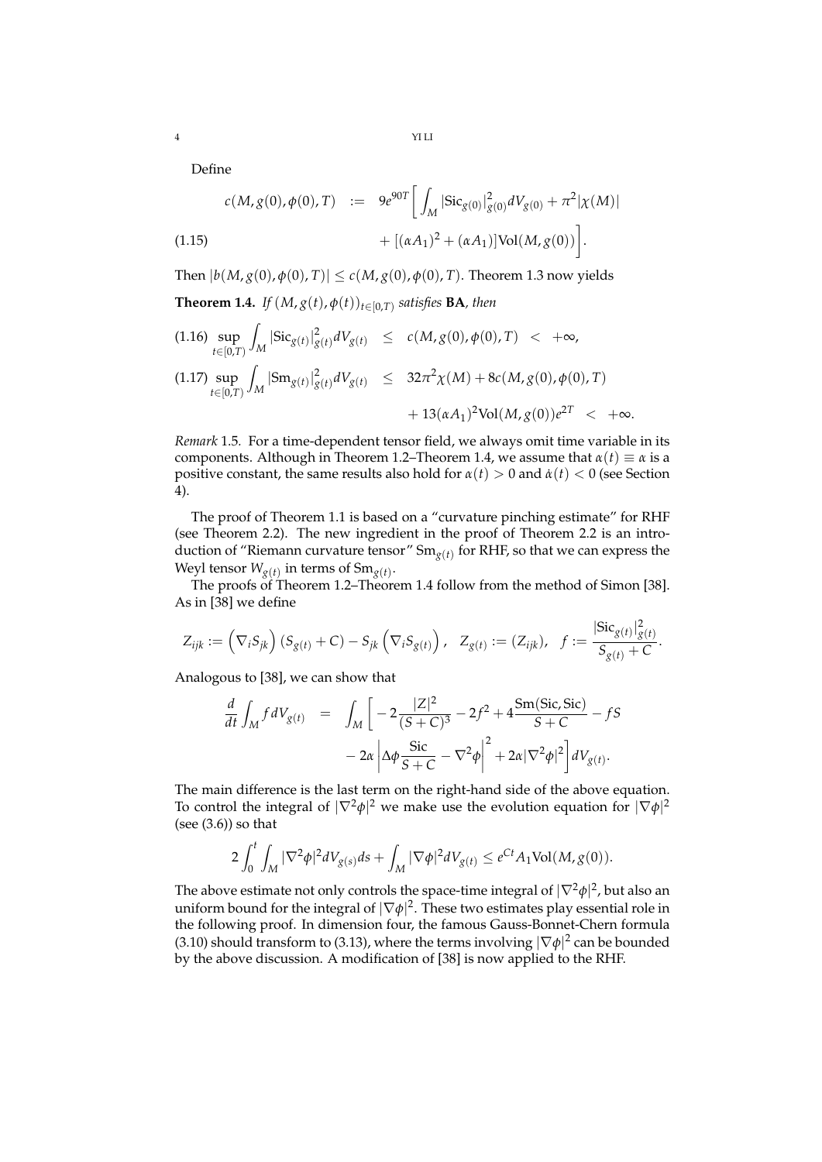Define

$$
c(M, g(0), \phi(0), T) := 9e^{90T} \left[ \int_M |\text{Sic}_{g(0)}|^2_{g(0)} dV_{g(0)} + \pi^2 |\chi(M)| \right. \\ \left. + [(\alpha A_1)^2 + (\alpha A_1)] \text{Vol}(M, g(0)) \right].
$$

Then  $|b(M, g(0), \phi(0), T)| \le c(M, g(0), \phi(0), T)$ . Theorem 1.3 now yields

**Theorem 1.4.** *If*  $(M, g(t), \phi(t))_{t \in [0,T)}$  satisfies **BA**, then

sup *t*∈[0,*T*) Z  $\sup_{t \in [0,T)} \int_M |\text{Sic}_{g(t)}|^2_{g(t)} dV_{g(t)} \leq c(M, g(0), \phi(0), T) < +\infty,$ Z 2 2

$$
(1.17) \sup_{t \in [0,T)} \int_M |\mathrm{Sm}_{g(t)}|_{g(t)}^2 dV_{g(t)} \leq 32\pi^2 \chi(M) + 8c(M, g(0), \phi(0), T) + 13(\alpha A_1)^2 \mathrm{Vol}(M, g(0))e^{2T} < +\infty.
$$

*Remark* 1.5*.* For a time-dependent tensor field, we always omit time variable in its components. Although in Theorem 1.2–Theorem 1.4, we assume that  $\alpha(t) \equiv \alpha$  is a positive constant, the same results also hold for  $\alpha(t) > 0$  and  $\dot{\alpha}(t) < 0$  (see Section 4).

The proof of Theorem 1.1 is based on a "curvature pinching estimate" for RHF (see Theorem 2.2). The new ingredient in the proof of Theorem 2.2 is an introduction of "Riemann curvature tensor" Sm*g*(*t*) for RHF, so that we can express the Weyl tensor  $W_{g(t)}$  in terms of  $Sm_{g(t)}$ .

The proofs of Theorem 1.2–Theorem 1.4 follow from the method of Simon [38]. As in [38] we define

$$
Z_{ijk} := (\nabla_i S_{jk}) (S_{g(t)} + C) - S_{jk} (\nabla_i S_{g(t)}) , \quad Z_{g(t)} := (Z_{ijk}), \quad f := \frac{|\text{Sic}_{g(t)}|_{g(t)}^2}{S_{g(t)} + C}.
$$

Analogous to [38], we can show that

$$
\frac{d}{dt} \int_{M} f dV_{g(t)} = \int_{M} \left[ -2 \frac{|Z|^{2}}{(S+C)^{3}} - 2f^{2} + 4 \frac{\text{Sm(Sic, Sic)}}{S+C} - fS - 2\alpha \left| \Delta \phi \frac{\text{Sic}}{S+C} - \nabla^{2} \phi \right|^{2} + 2\alpha |\nabla^{2} \phi|^{2} \right] dV_{g(t)}.
$$

The main difference is the last term on the right-hand side of the above equation. To control the integral of  $|\nabla^2 \phi|^2$  we make use the evolution equation for  $|\nabla \phi|^2$ (see  $(3.6)$ ) so that

$$
2\int_0^t \int_M |\nabla^2 \phi|^2 dV_{g(s)} ds + \int_M |\nabla \phi|^2 dV_{g(t)} \le e^{Ct} A_1 \text{Vol}(M, g(0)).
$$

The above estimate not only controls the space-time integral of  $|\nabla^2 \phi|^2$ , but also an uniform bound for the integral of  $|\nabla \phi|^2.$  These two estimates play essential role in the following proof. In dimension four, the famous Gauss-Bonnet-Chern formula (3.10) should transform to (3.13), where the terms involving  $|\nabla \phi|^2$  can be bounded by the above discussion. A modification of [38] is now applied to the RHF.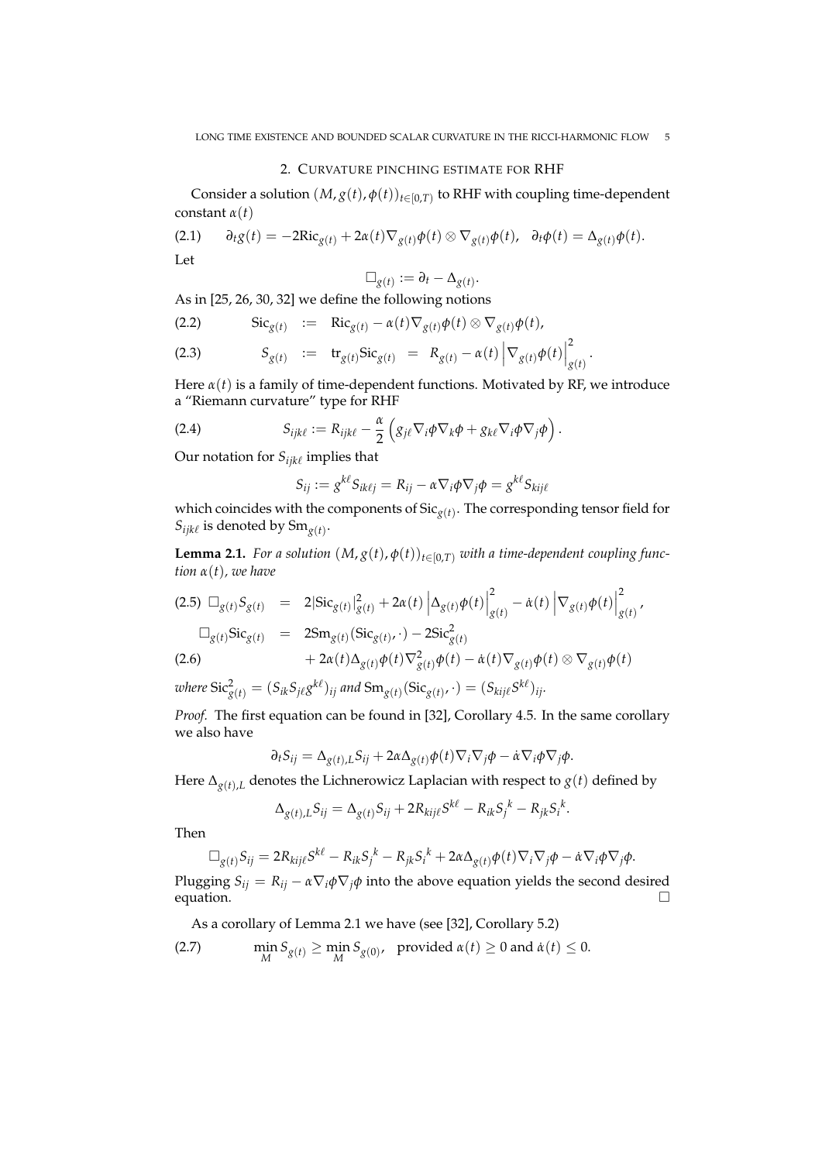### 2. CURVATURE PINCHING ESTIMATE FOR RHF

Consider a solution  $(M, g(t), \phi(t))_{t \in [0,T)}$  to RHF with coupling time-dependent constant *α*(*t*)

(2.1) 
$$
\partial_t g(t) = -2\mathrm{Ric}_{g(t)} + 2\alpha(t)\nabla_{g(t)}\phi(t) \otimes \nabla_{g(t)}\phi(t), \quad \partial_t \phi(t) = \Delta_{g(t)}\phi(t).
$$
 Let

$$
\Box_{g(t)} := \partial_t - \Delta_{g(t)}.
$$

As in [25, 26, 30, 32] we define the following notions

(2.2) 
$$
\operatorname{Sic}_{g(t)} := \operatorname{Ric}_{g(t)} - \alpha(t) \nabla_{g(t)} \phi(t) \otimes \nabla_{g(t)} \phi(t),
$$

(2.3) 
$$
S_{g(t)} := {\rm tr}_{g(t)} {\rm Sic}_{g(t)} = R_{g(t)} - \alpha(t) \left| \nabla_{g(t)} \phi(t) \right|_{g(t)}^2.
$$

Here  $\alpha(t)$  is a family of time-dependent functions. Motivated by RF, we introduce a "Riemann curvature" type for RHF

(2.4) 
$$
S_{ijk\ell} := R_{ijk\ell} - \frac{\alpha}{2} \left( g_{j\ell} \nabla_i \phi \nabla_k \phi + g_{k\ell} \nabla_i \phi \nabla_j \phi \right).
$$

Our notation for  $S_{ijk\ell}$  implies that

$$
S_{ij} := g^{k\ell} S_{ik\ell j} = R_{ij} - \alpha \nabla_i \phi \nabla_j \phi = g^{k\ell} S_{kij\ell}
$$

which coincides with the components of Sic*g*(*t*) . The corresponding tensor field for  $S_{ijk\ell}$  is denoted by  $Sm_{g(t)}$ .

**Lemma 2.1.** *For a solution*  $(M, g(t), \phi(t))_{t \in [0,T)}$  *with a time-dependent coupling function α*(*t*)*, we have*

$$
(2.5) \Box_{g(t)} S_{g(t)} = 2|{\rm Sic}_{g(t)}|_{g(t)}^2 + 2\alpha(t) |\Delta_{g(t)} \phi(t)|_{g(t)}^2 - \dot{\alpha}(t) |\nabla_{g(t)} \phi(t)|_{g(t)}^2,
$$
  
\n
$$
\Box_{g(t)} {\rm Sic}_{g(t)} = 2{\rm Sm}_{g(t)}({\rm Sic}_{g(t)} \cdot) - 2{\rm Sic}_{g(t)}^2
$$
  
\n
$$
(2.6) + 2\alpha(t) \Delta_{g(t)} \phi(t) \nabla_{g(t)}^2 \phi(t) - \dot{\alpha}(t) \nabla_{g(t)} \phi(t) \otimes \nabla_{g(t)} \phi(t)
$$

 $w$ here  $\text{Sic}_{g(t)}^2 = (S_{ik}S_{j\ell}g^{k\ell})_{ij}$  and  $\text{Sm}_{g(t)}(\text{Sic}_{g(t)},\cdot) = (S_{kij\ell}S^{k\ell})_{ij}.$ 

*Proof.* The first equation can be found in [32], Corollary 4.5. In the same corollary we also have

$$
\partial_t S_{ij} = \Delta_{g(t),L} S_{ij} + 2\alpha \Delta_{g(t)} \phi(t) \nabla_i \nabla_j \phi - \dot{\alpha} \nabla_i \phi \nabla_j \phi.
$$

Here  $\Delta_{g(t),L}$  denotes the Lichnerowicz Laplacian with respect to  $g(t)$  defined by

$$
\Delta_{g(t),L} S_{ij} = \Delta_{g(t)} S_{ij} + 2R_{kij\ell} S^{k\ell} - R_{ik} S_j^k - R_{jk} S_i^k.
$$

Then

$$
\Box_{g(t)} S_{ij} = 2R_{kij\ell} S^{k\ell} - R_{ik} S_j^{\ k} - R_{jk} S_i^{\ k} + 2\alpha \Delta_{g(t)} \phi(t) \nabla_i \nabla_j \phi - \dot{\alpha} \nabla_i \phi \nabla_j \phi.
$$

Plugging *S*<sub>*ij*</sub> =  $R_{ij} - \alpha \nabla_i \phi \nabla_j \phi$  into the above equation yields the second desired equation. equation.  $\Box$ 

As a corollary of Lemma 2.1 we have (see [32], Corollary 5.2)

(2.7) 
$$
\min_{M} S_{g(t)} \ge \min_{M} S_{g(0)}, \text{ provided } \alpha(t) \ge 0 \text{ and } \dot{\alpha}(t) \le 0.
$$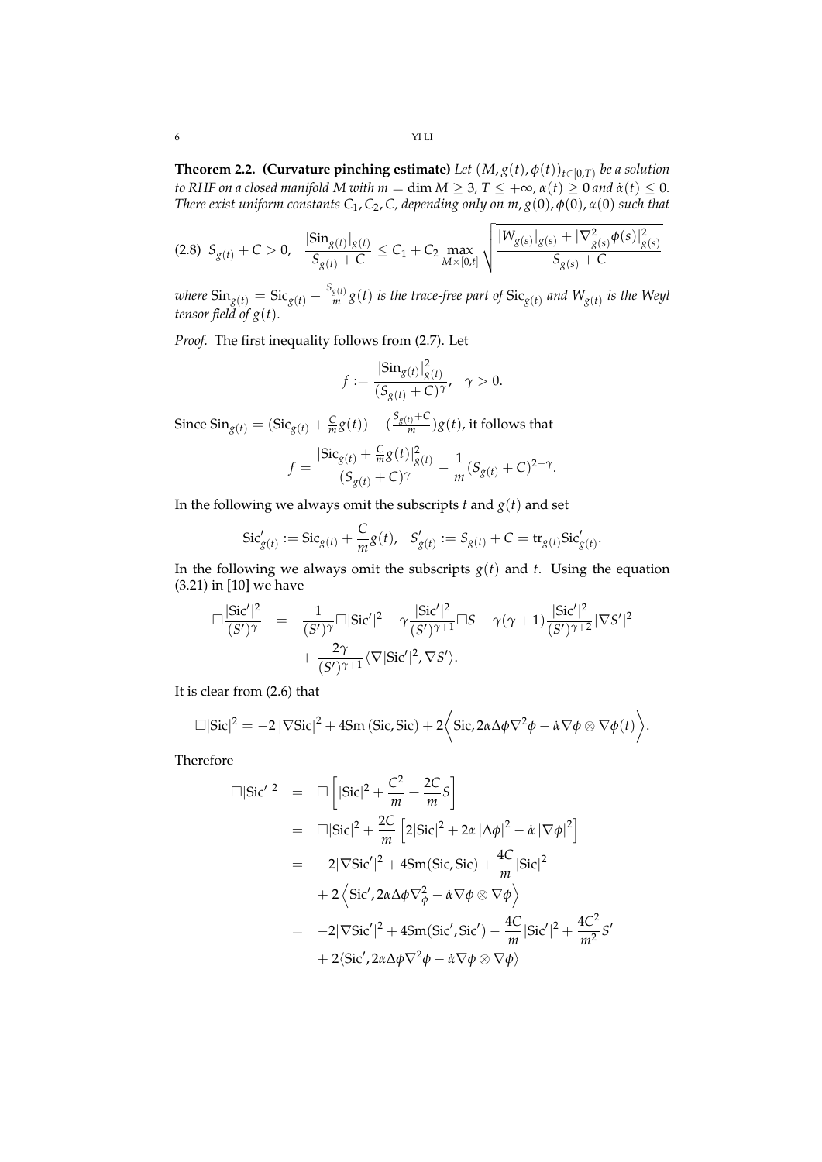**Theorem 2.2. (Curvature pinching estimate)** Let  $(M, g(t), \phi(t))_{t \in [0,T)}$  be a solution *to RHF on a closed manifold M with*  $m = \dim M \geq 3$ *,*  $T \leq +\infty$ *,*  $\alpha(t) \geq 0$  *and*  $\dot{\alpha}(t) \leq 0$ *. There exist uniform constants*  $C_1$ ,  $C_2$ ,  $C$ , depending only on  $m$ ,  $g(0)$ ,  $\phi(0)$ ,  $\alpha(0)$  such that

$$
(2.8) \ S_{g(t)}+C>0, \quad \frac{|\text{Sin}_{g(t)}|_{g(t)}}{S_{g(t)}+C}\leq C_1+C_2\max_{M\times[0,t]}\sqrt{\frac{|W_{g(s)}|_{g(s)}+|\nabla^2_{g(s)}\phi(s)|^2_{g(s)}}{S_{g(s)}+C}}
$$

*where*  $\text{Sin}_{g(t)} = \text{Sic}_{g(t)} - \frac{S_{g(t)}}{m}$  $\frac{g(t)}{m}g(t)$  *is the trace-free part of*  $\text{Sic}_{g(t)}$  *and*  $W_{g(t)}$  *is the Weyl tensor field of g*(*t*)*.*

*Proof.* The first inequality follows from (2.7). Let

$$
f := \frac{|\text{Sin}_{g(t)}|_{g(t)}^2}{(S_{g(t)} + C)^{\gamma}}, \quad \gamma > 0.
$$

Since  $\text{Sin}_{g(t)} = (\text{Sic}_{g(t)} + \frac{C}{m}g(t)) - (\frac{S_{g(t)}+C}{m})$  $\frac{f(t)+C}{m}$ )*g*(*t*), it follows that

$$
f = \frac{|\text{Sic}_{g(t)} + \frac{C}{m}g(t)|_{g(t)}^2}{(S_{g(t)} + C)^{\gamma}} - \frac{1}{m}(S_{g(t)} + C)^{2-\gamma}.
$$

In the following we always omit the subscripts  $t$  and  $g(t)$  and set

$$
Sic'_{g(t)} := Sic_{g(t)} + \frac{C}{m}g(t), \quad S'_{g(t)} := S_{g(t)} + C = tr_{g(t)}Sic'_{g(t)}.
$$

In the following we always omit the subscripts  $g(t)$  and  $t$ . Using the equation (3.21) in [10] we have

$$
\Box \frac{|\text{Sic}'|^2}{(S')^{\gamma}} = \frac{1}{(S')^{\gamma}} \Box |\text{Sic}'|^2 - \gamma \frac{|\text{Sic}'|^2}{(S')^{\gamma+1}} \Box S - \gamma(\gamma+1) \frac{|\text{Sic}'|^2}{(S')^{\gamma+2}} |\nabla S'|^2 + \frac{2\gamma}{(S')^{\gamma+1}} \langle \nabla |\text{Sic}'|^2, \nabla S' \rangle.
$$

It is clear from (2.6) that

$$
\Box|\text{Sic}|^2 = -2 |\nabla \text{Sic}|^2 + 4\text{Sm}(\text{Sic}, \text{Sic}) + 2\bigg\langle \text{Sic}, 2\alpha \Delta \phi \nabla^2 \phi - \dot{\alpha} \nabla \phi \otimes \nabla \phi(t) \bigg\rangle.
$$

Therefore

$$
\Box|\text{Sic}'|^{2} = \Box\left[|\text{Sic}|^{2} + \frac{C^{2}}{m} + \frac{2C}{m}S\right]
$$
  
\n
$$
= \Box|\text{Sic}|^{2} + \frac{2C}{m}\left[2|\text{Sic}|^{2} + 2\alpha |\Delta\phi|^{2} - \alpha |\nabla\phi|^{2}\right]
$$
  
\n
$$
= -2|\nabla\text{Sic}'|^{2} + 4\text{Sm}(\text{Sic}, \text{Sic}) + \frac{4C}{m}|\text{Sic}|^{2}
$$
  
\n
$$
+ 2\left\langle \text{Sic}', 2\alpha\Delta\phi\nabla_{\phi}^{2} - \alpha\nabla\phi\otimes\nabla\phi \right\rangle
$$
  
\n
$$
= -2|\nabla\text{Sic}'|^{2} + 4\text{Sm}(\text{Sic}', \text{Sic}') - \frac{4C}{m}|\text{Sic}'|^{2} + \frac{4C^{2}}{m^{2}}S'
$$
  
\n
$$
+ 2\langle \text{Sic}', 2\alpha\Delta\phi\nabla^{2}\phi - \alpha\nabla\phi\otimes\nabla\phi \rangle
$$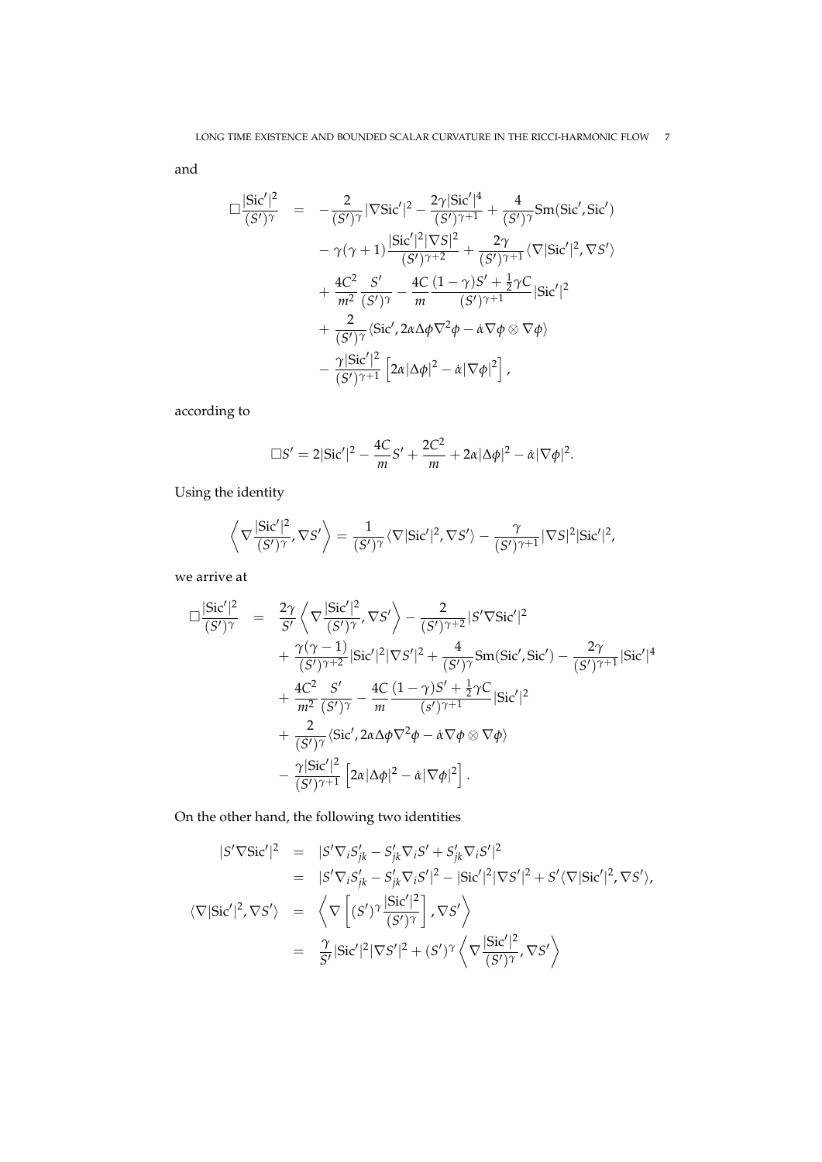and

$$
\Box \frac{|\text{Sic}'|^{2}}{(S')^{\gamma}} = -\frac{2}{(S')^{\gamma}} |\nabla \text{Sic}'|^{2} - \frac{2\gamma |\text{Sic}'|^{4}}{(S')^{\gamma+1}} + \frac{4}{(S')^{\gamma}} \text{Sm}(\text{Sic}', \text{Sic}') \n- \gamma(\gamma+1) \frac{|\text{Sic}'|^{2} |\nabla S|^{2}}{(S')^{\gamma+2}} + \frac{2\gamma}{(S')^{\gamma+1}} \langle \nabla |\text{Sic}'|^{2}, \nabla S' \rangle \n+ \frac{4C^{2}}{m^{2}} \frac{S'}{(S')^{\gamma}} - \frac{4C}{m} \frac{(1-\gamma)S' + \frac{1}{2}\gamma C}{(S')^{\gamma+1}} |\text{Sic}'|^{2} \n+ \frac{2}{(S')^{\gamma}} \langle \text{Sic}', 2\alpha \Delta \phi \nabla^{2} \phi - \alpha \nabla \phi \otimes \nabla \phi \rangle \n- \frac{\gamma |\text{Sic}'|^{2}}{(S')^{\gamma+1}} \left[ 2\alpha |\Delta \phi|^{2} - \dot{\alpha} |\nabla \phi|^{2} \right],
$$

according to

$$
\Box S'=2|\text{Sic}'|^{2}-\frac{4C}{m}S'+\frac{2C^{2}}{m}+2\alpha|\Delta\phi|^{2}-\alpha|\nabla\phi|^{2}.
$$

Using the identity

$$
\left\langle \nabla \frac{|\text{Sic}'|^2}{(S')^{\gamma}}, \nabla S' \right\rangle = \frac{1}{(S')^{\gamma}} \langle \nabla |\text{Sic}'|^2, \nabla S' \rangle - \frac{\gamma}{(S')^{\gamma+1}} |\nabla S|^2 |\text{Sic}'|^2,
$$

we arrive at

$$
\Box \frac{|\text{Sic}'|^2}{(S')^{\gamma}} = \frac{2\gamma}{S'} \left\langle \nabla \frac{|\text{Sic}'|^2}{(S')^{\gamma}}, \nabla S' \right\rangle - \frac{2}{(S')^{\gamma+2}} |S' \nabla \text{Sic}'|^2 \n+ \frac{\gamma(\gamma - 1)}{(S')^{\gamma+2}} |\text{Sic}'|^2 |\nabla S'|^2 + \frac{4}{(S')^{\gamma}} \text{Sm}(\text{Sic}', \text{Sic}') - \frac{2\gamma}{(S')^{\gamma+1}} |\text{Sic}'|^4 \n+ \frac{4C^2}{m^2} \frac{S'}{(S')^{\gamma}} - \frac{4C}{m} \frac{(1 - \gamma)S' + \frac{1}{2}\gamma C}{(S')^{\gamma+1}} |\text{Sic}'|^2 \n+ \frac{2}{(S')^{\gamma}} \langle \text{Sic}', 2\alpha \Delta \phi \nabla^2 \phi - \dot{\alpha} \nabla \phi \otimes \nabla \phi \rangle \n- \frac{\gamma |\text{Sic}'|^2}{(S')^{\gamma+1}} \left[ 2\alpha |\Delta \phi|^2 - \dot{\alpha} |\nabla \phi|^2 \right].
$$

On the other hand, the following two identities

$$
|S'\nabla \text{Sic}'|^{2} = |S'\nabla_{i}S'_{jk} - S'_{jk}\nabla_{i}S' + S'_{jk}\nabla_{i}S'|^{2}
$$
  
\n
$$
= |S'\nabla_{i}S'_{jk} - S'_{jk}\nabla_{i}S'|^{2} - |\text{Sic}'|^{2}|\nabla S'|^{2} + S'\langle\nabla|\text{Sic}'|^{2}, \nabla S'\rangle,
$$
  
\n
$$
\langle\nabla|\text{Sic}'|^{2}, \nabla S'\rangle = \left\langle \nabla \left[ (S')^{\gamma} \frac{|\text{Sic}'|^{2}}{(S')^{\gamma}} \right], \nabla S' \right\rangle
$$
  
\n
$$
= \frac{\gamma}{S'}|\text{Sic}'|^{2}|\nabla S'|^{2} + (S')^{\gamma} \left\langle \nabla \frac{|\text{Sic}'|^{2}}{(S')^{\gamma}}, \nabla S' \right\rangle
$$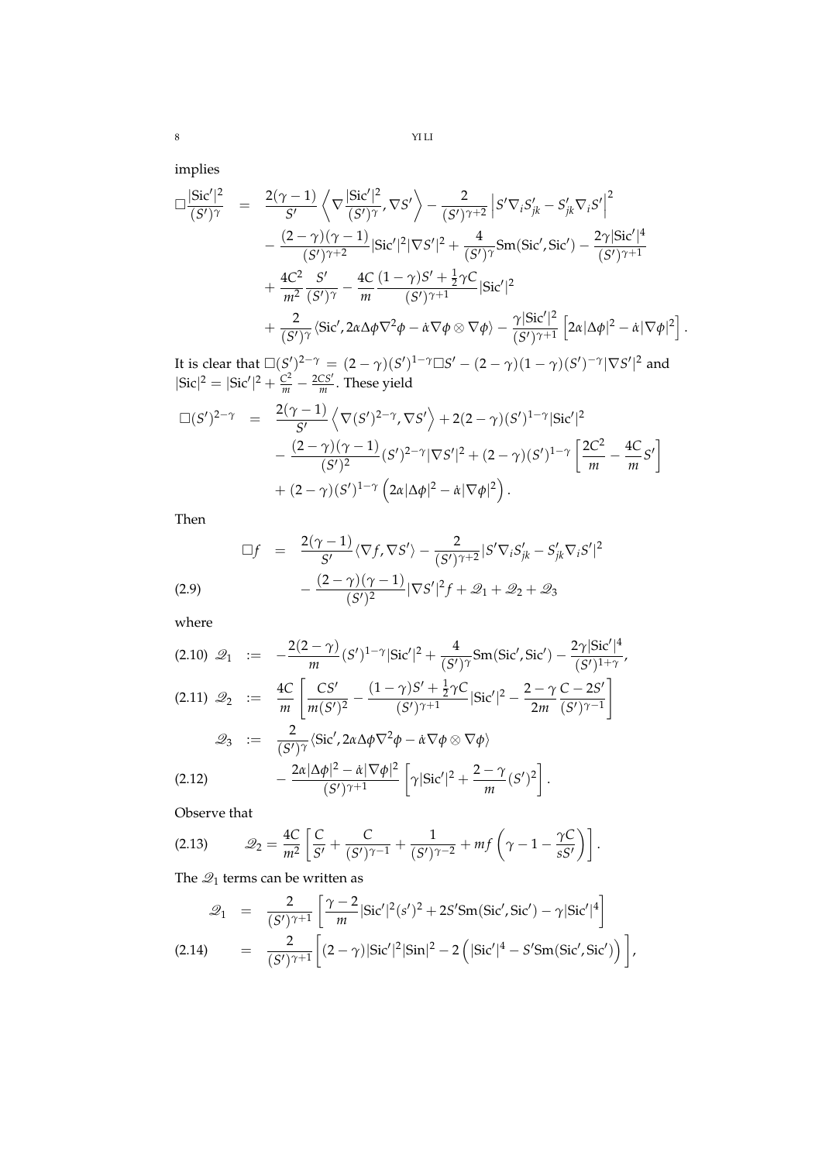implies

$$
\Box \frac{|\text{Sic}'|^{2}}{(S')^{\gamma}} = \frac{2(\gamma - 1)}{S'} \left\langle \nabla \frac{|\text{Sic}'|^{2}}{(S')^{\gamma}}, \nabla S' \right\rangle - \frac{2}{(S')^{\gamma+2}} \left| S' \nabla_{i} S'_{jk} - S'_{jk} \nabla_{i} S' \right|^{2} \n- \frac{(2 - \gamma)(\gamma - 1)}{(S')^{\gamma+2}} |\text{Sic}'|^{2} |\nabla S'|^{2} + \frac{4}{(S')^{\gamma}} \text{Sm}(\text{Sic}', \text{Sic}') - \frac{2\gamma |\text{Sic}'|^{4}}{(S')^{\gamma+1}} \n+ \frac{4C^{2}}{m^{2}} \frac{S'}{(S')^{\gamma}} - \frac{4C}{m} \frac{(1 - \gamma)S' + \frac{1}{2}\gamma C}{(S')^{\gamma+1}} |\text{Sic}'|^{2} \n+ \frac{2}{(S')^{\gamma}} \langle \text{Sic}', 2\alpha \Delta \phi \nabla^{2} \phi - \dot{\alpha} \nabla \phi \otimes \nabla \phi \rangle - \frac{\gamma |\text{Sic}'|^{2}}{(S')^{\gamma+1}} \left[ 2\alpha |\Delta \phi|^{2} - \dot{\alpha} |\nabla \phi|^{2} \right].
$$

It is clear that  $\Box(S')^{2-\gamma} = (2-\gamma)(S')^{1-\gamma} \Box S' - (2-\gamma)(1-\gamma)(S')^{-\gamma}|\nabla S'|^2$  and  $|{\rm Sic}|^2 = |{\rm Sic'}|^2 + \frac{C^2}{m} - \frac{2CS'}{m}$ . These yield

$$
\Box(S')^{2-\gamma} = \frac{2(\gamma - 1)}{S'} \Big\langle \nabla(S')^{2-\gamma}, \nabla S' \Big\rangle + 2(2 - \gamma)(S')^{1-\gamma} |\text{Sic}'|^{2} \n- \frac{(2 - \gamma)(\gamma - 1)}{(S')^{2}} (S')^{2-\gamma} |\nabla S'|^{2} + (2 - \gamma)(S')^{1-\gamma} \left[ \frac{2C^{2}}{m} - \frac{4C}{m} S' \right] \n+ (2 - \gamma)(S')^{1-\gamma} (2\alpha |\Delta \phi|^{2} - \dot{\alpha} |\nabla \phi|^{2}).
$$

Then

$$
\Box f = \frac{2(\gamma - 1)}{S'} \langle \nabla f, \nabla S' \rangle - \frac{2}{(S')^{\gamma + 2}} |S' \nabla_i S'_{jk} - S'_{jk} \nabla_i S'|^2
$$
  
(2.9)
$$
- \frac{(2 - \gamma)(\gamma - 1)}{(S')^2} |\nabla S'|^2 f + \mathcal{Q}_1 + \mathcal{Q}_2 + \mathcal{Q}_3
$$

where

$$
(2.10) \quad \mathcal{Q}_1 \quad := \quad -\frac{2(2-\gamma)}{m} (S')^{1-\gamma} |\text{Sic}'|^2 + \frac{4}{(S')^{\gamma}} \text{Sm}(\text{Sic}', \text{Sic}') - \frac{2\gamma |\text{Sic}'|^4}{(S')^{1+\gamma}},
$$
\n
$$
(2.11) \quad \mathcal{Q}_2 \quad := \quad \frac{4C}{m} \left[ \frac{CS'}{m(S')^2} - \frac{(1-\gamma)S' + \frac{1}{2}\gamma C}{(S')^{\gamma+1}} |\text{Sic}'|^2 - \frac{2-\gamma}{2m} \frac{C-2S'}{(S')^{\gamma-1}} \right]
$$
\n
$$
\mathcal{Q}_3 \quad := \quad \frac{2}{(S')^{\gamma}} \langle \text{Sic}', 2\alpha \Delta \phi \nabla^2 \phi - \dot{\alpha} \nabla \phi \otimes \nabla \phi \rangle
$$
\n
$$
(2.12) \qquad -\frac{2\alpha |\Delta \phi|^2 - \dot{\alpha} |\nabla \phi|^2}{(S')^{\gamma+1}} \left[ \gamma |\text{Sic}'|^2 + \frac{2-\gamma}{m} (S')^2 \right].
$$

Observe that

$$
(2.13) \qquad \mathscr{Q}_2 = \frac{4C}{m^2} \left[ \frac{C}{S'} + \frac{C}{(S')^{\gamma - 1}} + \frac{1}{(S')^{\gamma - 2}} + mf \left( \gamma - 1 - \frac{\gamma C}{s S'} \right) \right].
$$

The  $\mathcal{Q}_1$  terms can be written as

$$
\mathcal{Q}_1 = \frac{2}{(S')^{\gamma+1}} \left[ \frac{\gamma - 2}{m} |\text{Sic}'|^2 (s')^2 + 2S' \text{Sm}(\text{Sic}', \text{Sic}') - \gamma |\text{Sic}'|^4 \right]
$$
  
(2.14) 
$$
= \frac{2}{(S')^{\gamma+1}} \left[ (2 - \gamma) |\text{Sic}'|^2 |\text{Sin}|^2 - 2 \left( |\text{Sic}'|^4 - S' \text{Sm}(\text{Sic}', \text{Sic}') \right) \right],
$$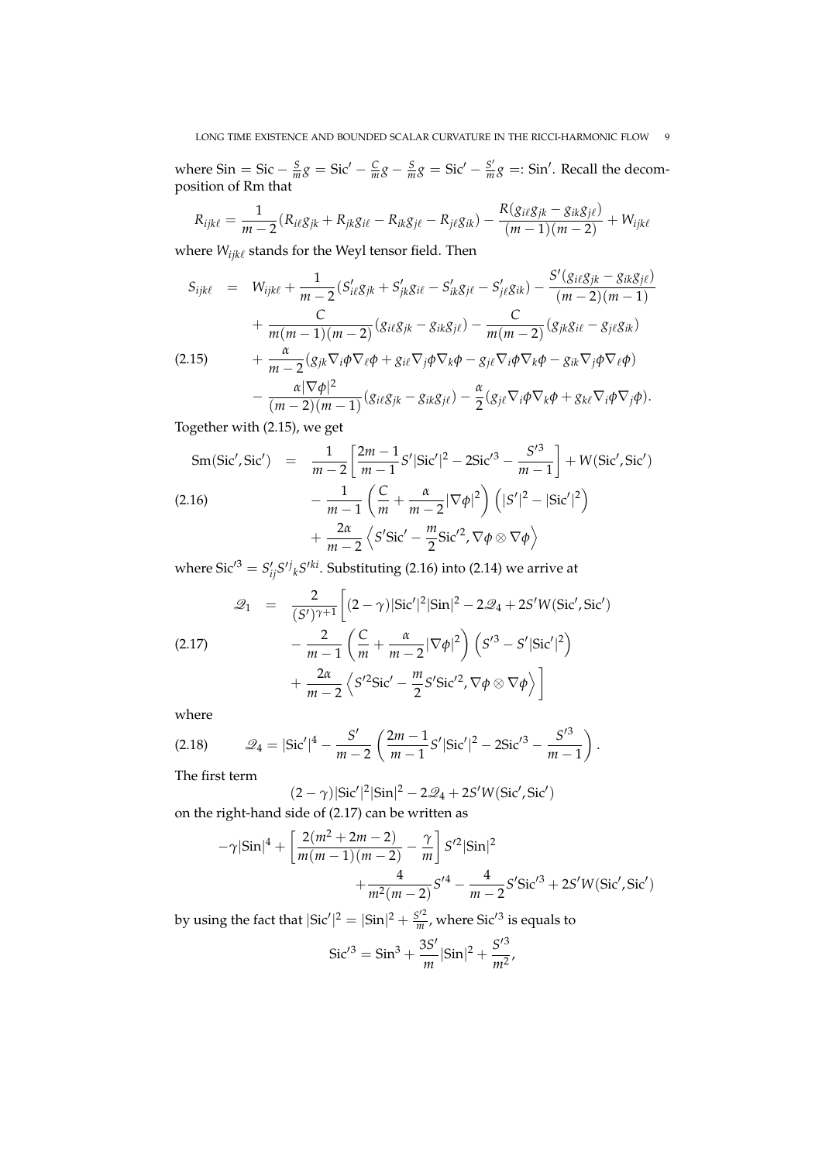where  $\text{Sin} = \text{Sic} - \frac{S}{m}g = \text{Sic}' - \frac{C}{m}g - \frac{S}{m}g = \text{Sic}' - \frac{S'}{m}$  $\frac{S'}{m}g$  =: Sin'. Recall the decomposition of Rm that

$$
R_{ijk\ell} = \frac{1}{m-2}(R_{i\ell}g_{jk} + R_{jk}g_{i\ell} - R_{ik}g_{j\ell} - R_{j\ell}g_{ik}) - \frac{R(g_{i\ell}g_{jk} - g_{ik}g_{j\ell})}{(m-1)(m-2)} + W_{ijk\ell}
$$

where  $W_{ijk\ell}$  stands for the Weyl tensor field. Then

$$
S_{ijk\ell} = W_{ijk\ell} + \frac{1}{m-2} (S'_{i\ell}g_{jk} + S'_{jk}g_{i\ell} - S'_{ik}g_{j\ell} - S'_{j\ell}g_{ik}) - \frac{S'(g_{i\ell}g_{jk} - g_{ik}g_{j\ell})}{(m-2)(m-1)} + \frac{C}{m(m-1)(m-2)} (g_{i\ell}g_{jk} - g_{ik}g_{j\ell}) - \frac{C}{m(m-2)} (g_{jk}g_{i\ell} - g_{j\ell}g_{ik}) + \frac{\alpha}{m-2} (g_{jk}\nabla_i\phi\nabla_\ell\phi + g_{i\ell}\nabla_j\phi\nabla_k\phi - g_{j\ell}\nabla_i\phi\nabla_k\phi - g_{ik}\nabla_j\phi\nabla_\ell\phi)
$$
\n
$$
\alpha
$$

$$
-\frac{\alpha|\nabla\phi|^2}{(m-2)(m-1)}(g_{i\ell}g_{jk}-g_{ik}g_{j\ell})-\frac{\alpha}{2}(g_{j\ell}\nabla_i\phi\nabla_k\phi+g_{k\ell}\nabla_i\phi\nabla_j\phi).
$$

Together with (2.15), we get

$$
\text{Sm}(\text{Sic}', \text{Sic}') = \frac{1}{m-2} \left[ \frac{2m-1}{m-1} S' |\text{Sic}'|^2 - 2\text{Sic}'^3 - \frac{S'^3}{m-1} \right] + W(\text{Sic}', \text{Sic}')
$$
\n
$$
- \frac{1}{m-1} \left( \frac{C}{m} + \frac{\alpha}{m-2} |\nabla \phi|^2 \right) \left( |S'|^2 - |\text{Sic}'|^2 \right)
$$
\n
$$
+ \frac{2\alpha}{m-2} \left\langle S' \text{Sic}' - \frac{m}{2} \text{Sic}'^2, \nabla \phi \otimes \nabla \phi \right\rangle
$$

where  $\text{Sic}'^3 = S'_{ij}S'^{j}{}_{k}S'^{ki}$ . Substituting (2.16) into (2.14) we arrive at

(2.17) 
$$
\mathcal{Q}_1 = \frac{2}{(S')^{\gamma+1}} \left[ (2-\gamma) |\text{Sic}'|^2 |\text{Sin}|^2 - 2\mathcal{Q}_4 + 2S'W(\text{Sic}', \text{Sic}') - \frac{2}{m-1} \left( \frac{C}{m} + \frac{\alpha}{m-2} |\nabla \phi|^2 \right) \left( S'^3 - S' |\text{Sic}'|^2 \right) + \frac{2\alpha}{m-2} \left( S'^2 \text{Sic}' - \frac{m}{2} S' \text{Sic}'^2, \nabla \phi \otimes \nabla \phi \right) \right]
$$

where

(2.18) 
$$
\mathcal{Q}_4 = |\text{Sic}'|^4 - \frac{S'}{m-2} \left( \frac{2m-1}{m-1} S' |\text{Sic}'|^2 - 2\text{Sic}'^3 - \frac{S'^3}{m-1} \right).
$$

The first term

$$
(2 - \gamma)|\text{Sic}'|^2|\text{Sin}|^2 - 2\mathcal{Q}_4 + 2S'W(\text{Sic}', \text{Sic}')
$$
 on the right-hand side of (2.17) can be written as

$$
-\gamma |\sin|^4 + \left[ \frac{2(m^2 + 2m - 2)}{m(m - 1)(m - 2)} - \frac{\gamma}{m} \right] S'^2 |\sin|^2 + \frac{4}{m^2(m - 2)} S'^4 - \frac{4}{m - 2} S' \text{Sic}'^3 + 2S' W (\text{Sic}', \text{Sic}')
$$

by using the fact that  $|\text{Sic}'|^2 = |\text{Sin}|^2 + \frac{S'^2}{m}$  $\frac{S^{\prime 2}}{m}$ , where Sic<sup> $\prime$ 3</sup> is equals to

$$
Sic^{\prime 3} = Sin^3 + \frac{3S^{\prime}}{m} |Sin|^2 + \frac{S^{\prime 3}}{m^2},
$$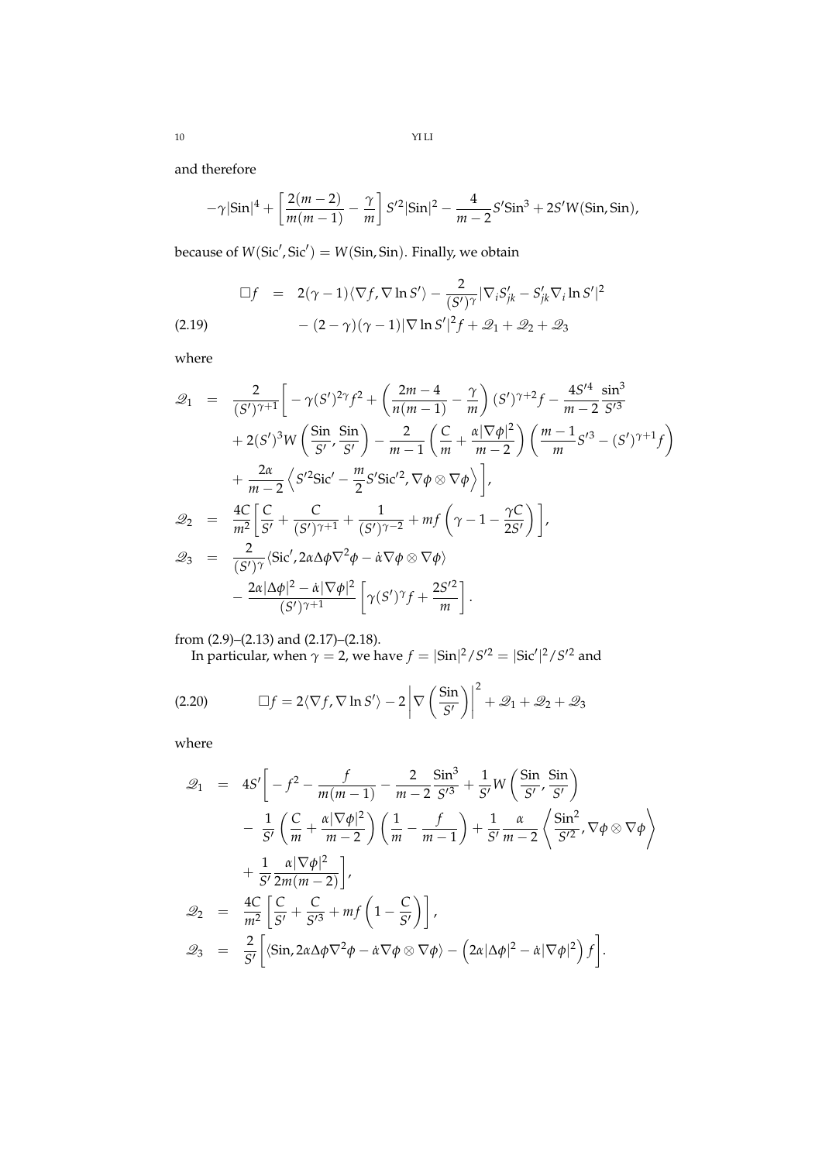and therefore

$$
-\gamma |\text{Sin}|^4 + \left[\frac{2(m-2)}{m(m-1)} - \frac{\gamma}{m}\right] S'^2 |\text{Sin}|^2 - \frac{4}{m-2} S' \text{Sin}^3 + 2S' W(\text{Sin}, \text{Sin}),
$$

because of  $W(\text{Sic}', \text{Sic}') = W(\text{Sin}, \text{Sin})$ . Finally, we obtain

$$
\Box f = 2(\gamma - 1)\langle \nabla f, \nabla \ln S' \rangle - \frac{2}{(S')^{\gamma}} |\nabla_i S'_{jk} - S'_{jk} \nabla_i \ln S'|^2
$$
  
(2.19) 
$$
- (2 - \gamma)(\gamma - 1)|\nabla \ln S'|^2 f + \mathcal{Q}_1 + \mathcal{Q}_2 + \mathcal{Q}_3
$$

where

$$
\mathcal{Q}_1 = \frac{2}{(S')^{\gamma+1}} \left[ -\gamma(S')^{2\gamma} f^2 + \left( \frac{2m-4}{n(m-1)} - \frac{\gamma}{m} \right) (S')^{\gamma+2} f - \frac{4S'^4}{m-2} \frac{\sin^3}{S'^3} \right. \n+ 2(S')^3 W \left( \frac{\sin}{S'} , \frac{\sin}{S'} \right) - \frac{2}{m-1} \left( \frac{C}{m} + \frac{\alpha |\nabla \phi|^2}{m-2} \right) \left( \frac{m-1}{m} S'^3 - (S')^{\gamma+1} f \right) \n+ \frac{2\alpha}{m-2} \left\langle S'^2 \text{Sic}' - \frac{m}{2} S' \text{Sic}'^2, \nabla \phi \otimes \nabla \phi \right\rangle \right],\n\mathcal{Q}_2 = \frac{4C}{m^2} \left[ \frac{C}{S'} + \frac{C}{(S')^{\gamma+1}} + \frac{1}{(S')^{\gamma-2}} + mf \left( \gamma - 1 - \frac{\gamma C}{2S'} \right) \right],\n\mathcal{Q}_3 = \frac{2}{(S')^{\gamma}} \left\langle \text{Sic}', 2\alpha \Delta \phi \nabla^2 \phi - \dot{\alpha} \nabla \phi \otimes \nabla \phi \right\rangle \n- \frac{2\alpha |\Delta \phi|^2 - \dot{\alpha} |\nabla \phi|^2}{(S')^{\gamma+1}} \left[ \gamma(S')^{\gamma} f + \frac{2S'^2}{m} \right].
$$

from (2.9)–(2.13) and (2.17)–(2.18). In particular, when  $\gamma = 2$ , we have  $f = |\text{Sin}|^2 / S'^2 = |\text{Sic}'|^2 / S'^2$  and

(2.20) 
$$
\Box f = 2 \langle \nabla f, \nabla \ln S' \rangle - 2 \left| \nabla \left( \frac{\sin}{S'} \right) \right|^2 + \mathcal{Q}_1 + \mathcal{Q}_2 + \mathcal{Q}_3
$$

where

$$
\mathcal{Q}_1 = 4S' \bigg[ -f^2 - \frac{f}{m(m-1)} - \frac{2}{m-2} \frac{\sin^3}{S'^3} + \frac{1}{S'} W \bigg( \frac{\sin}{S'} \frac{\sin}{S'} \bigg)
$$
  
\n
$$
- \frac{1}{S'} \bigg( \frac{C}{m} + \frac{\alpha |\nabla \phi|^2}{m-2} \bigg) \bigg( \frac{1}{m} - \frac{f}{m-1} \bigg) + \frac{1}{S'} \frac{\alpha}{m-2} \bigg( \frac{\sin^2}{S'^2}, \nabla \phi \otimes \nabla \phi \bigg)
$$
  
\n
$$
+ \frac{1}{S'} \frac{\alpha |\nabla \phi|^2}{2m(m-2)} \bigg],
$$
  
\n
$$
\mathcal{Q}_2 = \frac{4C}{m^2} \bigg[ \frac{C}{S'} + \frac{C}{S'^3} + mf \bigg( 1 - \frac{C}{S'} \bigg) \bigg],
$$
  
\n
$$
\mathcal{Q}_3 = \frac{2}{S'} \bigg[ \langle \sin, 2\alpha \Delta \phi \nabla^2 \phi - \alpha \nabla \phi \otimes \nabla \phi \rangle - \bigg( 2\alpha |\Delta \phi|^2 - \alpha |\nabla \phi|^2 \bigg) f \bigg].
$$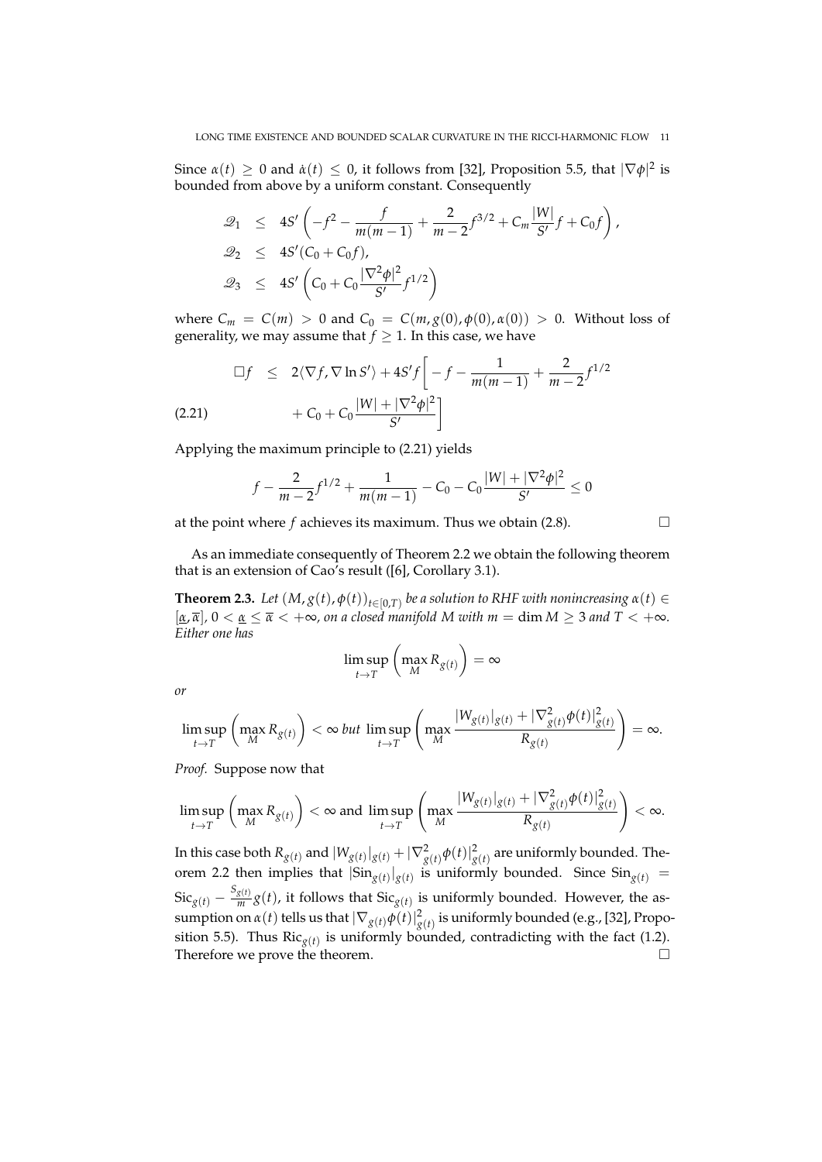Since  $\alpha(t) \geq 0$  and  $\dot{\alpha}(t) \leq 0$ , it follows from [32], Proposition 5.5, that  $|\nabla \phi|^2$  is bounded from above by a uniform constant. Consequently

$$
\mathcal{Q}_1 \leq 4S' \left( -f^2 - \frac{f}{m(m-1)} + \frac{2}{m-2} f^{3/2} + C_m \frac{|W|}{S'} f + C_0 f \right),
$$
  
\n
$$
\mathcal{Q}_2 \leq 4S' (C_0 + C_0 f),
$$
  
\n
$$
\mathcal{Q}_3 \leq 4S' \left( C_0 + C_0 \frac{|\nabla^2 \phi|^2}{S'} f^{1/2} \right)
$$

where  $C_m = C(m) > 0$  and  $C_0 = C(m, g(0), \phi(0), \alpha(0)) > 0$ . Without loss of generality, we may assume that  $f \geq 1$ . In this case, we have

$$
\Box f \le 2\langle \nabla f, \nabla \ln S' \rangle + 4S'f \bigg[ -f - \frac{1}{m(m-1)} + \frac{2}{m-2} f^{1/2} + C_0 + C_0 \frac{|W| + |\nabla^2 \phi|^2}{S'} \bigg]
$$
\n(2.21)

Applying the maximum principle to (2.21) yields

$$
f - \frac{2}{m-2}f^{1/2} + \frac{1}{m(m-1)} - C_0 - C_0\frac{|W| + |\nabla^2 \phi|^2}{S'} \le 0
$$

at the point where  $f$  achieves its maximum. Thus we obtain  $(2.8)$ .

As an immediate consequently of Theorem 2.2 we obtain the following theorem that is an extension of Cao's result ([6], Corollary 3.1).

**Theorem 2.3.** Let  $(M, g(t), \phi(t))_{t \in [0,T)}$  be a solution to RHF with nonincreasing  $\alpha(t) \in$  $[\underline{\alpha}, \overline{\alpha}]$ ,  $0 < \underline{\alpha} \leq \overline{\alpha} < +\infty$ , on a closed manifold M with  $m = \dim M \geq 3$  and  $T < +\infty$ . *Either one has*

$$
\limsup_{t \to T} \left( \max_{M} R_{g(t)} \right) = \infty
$$

*or*

$$
\limsup_{t\to T}\left(\max_M R_{g(t)}\right)<\infty \text{ but } \limsup_{t\to T}\left(\max_M \frac{|W_{g(t)}|_{g(t)}+|\nabla^2_{g(t)}\phi(t)|^2_{g(t)}}{R_{g(t)}}\right)=\infty.
$$

*Proof.* Suppose now that

$$
\limsup_{t\to T}\left(\max_M R_{g(t)}\right)<\infty \text{ and }\limsup_{t\to T}\left(\max_M \frac{|W_{g(t)}|_{g(t)}+|\nabla^2_{g(t)}\phi(t)|^2_{g(t)}}{R_{g(t)}}\right)<\infty.
$$

In this case both  $R_{g(t)}$  and  $|W_{g(t)}|_{g(t)} + |\nabla^2_{g(t)}\phi(t)|^2_{g(t)}$  are uniformly bounded. Theorem 2.2 then implies that  $|\text{Sin}_{g(t)}|_{g(t)}$  is uniformly bounded. Since  $\text{Sin}_{g(t)} =$  $\operatorname{Sic}_{g(t)} - \frac{S_{g(t)}}{m}$  $\frac{g(t)}{m}g(t)$ , it follows that  $\text{Sic}_{g(t)}$  is uniformly bounded. However, the assumption on  $\alpha(t)$  tells us that  $|\nabla_{g(t)}\phi(t)|^2_{g(t)}$  is uniformly bounded (e.g., [32], Proposition 5.5). Thus  $\operatorname{Ric}_{g(t)}$  is uniformly bounded, contradicting with the fact (1.2). Therefore we prove the theorem.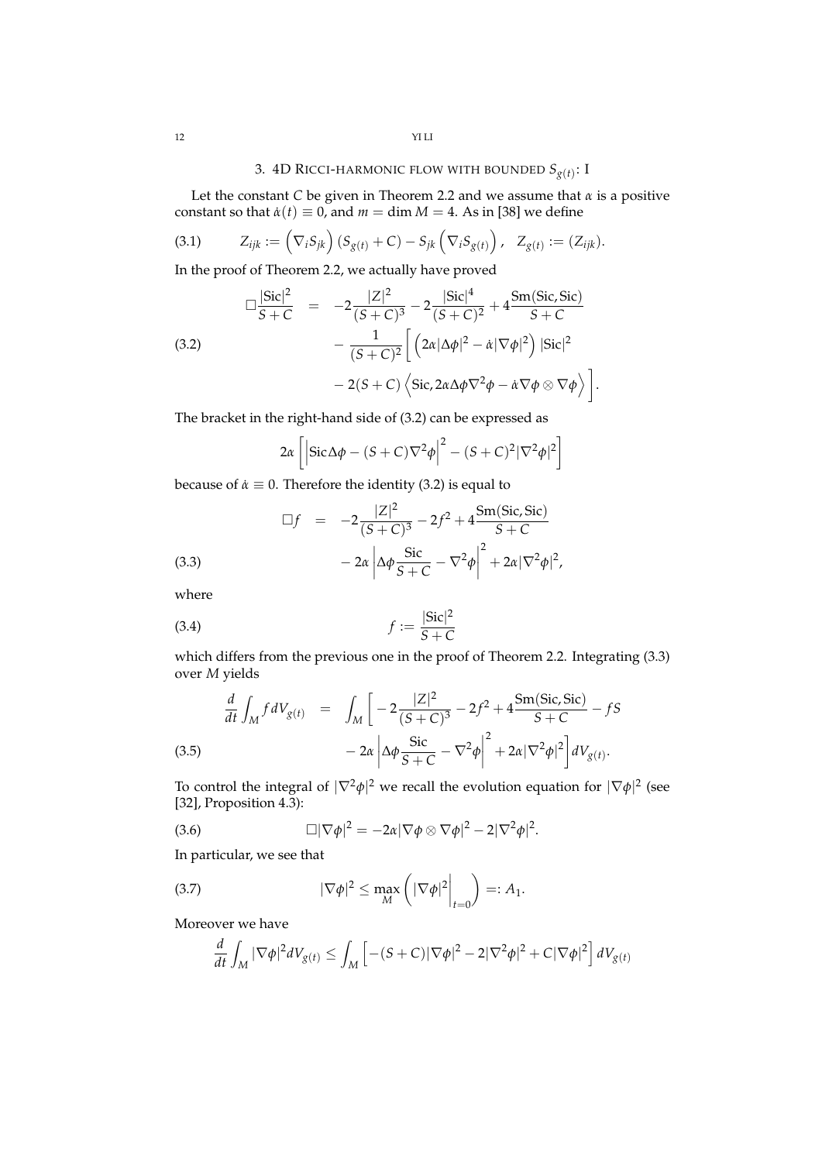# 3. 4D RICCI-HARMONIC FLOW WITH BOUNDED *Sg*(*t*) : I

Let the constant *C* be given in Theorem 2.2 and we assume that  $\alpha$  is a positive constant so that  $\dot{\alpha}(t) \equiv 0$ , and  $m = \dim M = 4$ . As in [38] we define

(3.1) 
$$
Z_{ijk} := (\nabla_i S_{jk}) (S_{g(t)} + C) - S_{jk} (\nabla_i S_{g(t)}) , \quad Z_{g(t)} := (Z_{ijk}).
$$

In the proof of Theorem 2.2, we actually have proved

(3.2)  
\n
$$
\Box \frac{|\text{Sic}|^2}{S+C} = -2 \frac{|Z|^2}{(S+C)^3} - 2 \frac{|\text{Sic}|^4}{(S+C)^2} + 4 \frac{\text{Sm}(\text{Sic},\text{Sic})}{S+C} -\frac{1}{(S+C)^2} \left[ \left( 2\alpha |\Delta \phi|^2 - \dot{\alpha} |\nabla \phi|^2 \right) |\text{Sic}|^2 - 2(S+C) \left\langle \text{Sic}, 2\alpha \Delta \phi \nabla^2 \phi - \dot{\alpha} \nabla \phi \otimes \nabla \phi \right\rangle \right].
$$

The bracket in the right-hand side of (3.2) can be expressed as

$$
2\alpha \left[ \left| \text{Sic}\Delta\phi - (S+C)\nabla^2\phi \right|^2 - (S+C)^2 |\nabla^2\phi|^2 \right]
$$

because of  $\dot{\alpha} \equiv 0$ . Therefore the identity (3.2) is equal to

(3.3)  
\n
$$
\Box f = -2 \frac{|Z|^2}{(S+C)^3} - 2f^2 + 4 \frac{\text{Sm}(Sic, Sic)}{S+C}
$$
\n
$$
-2\alpha \left| \Delta \phi \frac{\text{Sic}}{S+C} - \nabla^2 \phi \right|^2 + 2\alpha |\nabla^2 \phi|^2,
$$

where

$$
f := \frac{|\text{Sic}|^2}{S + C}
$$

which differs from the previous one in the proof of Theorem 2.2. Integrating  $(3.3)$ over *M* yields

$$
\frac{d}{dt} \int_{M} f dV_{g(t)} = \int_{M} \left[ -2 \frac{|Z|^{2}}{(S+C)^{3}} - 2f^{2} + 4 \frac{\text{Sm(Sic, Sic)}}{S+C} - fS - 2\alpha \left| \Delta \phi \frac{\text{Sic}}{S+C} - \nabla^{2} \phi \right|^{2} + 2\alpha |\nabla^{2} \phi|^{2} \right] dV_{g(t)}.
$$
\n(3.5)

To control the integral of  $|\nabla^2 \phi|^2$  we recall the evolution equation for  $|\nabla \phi|^2$  (see [32], Proposition 4.3):

(3.6) 
$$
\Box |\nabla \phi|^2 = -2\alpha |\nabla \phi \otimes \nabla \phi|^2 - 2|\nabla^2 \phi|^2.
$$

In particular, we see that

(3.7) 
$$
|\nabla \phi|^2 \leq \max_M \left( |\nabla \phi|^2 \bigg|_{t=0} \right) =: A_1.
$$

Moreover we have

$$
\frac{d}{dt} \int_M |\nabla \phi|^2 dV_{g(t)} \le \int_M \left[ -(S+C) |\nabla \phi|^2 - 2 |\nabla^2 \phi|^2 + C |\nabla \phi|^2 \right] dV_{g(t)}
$$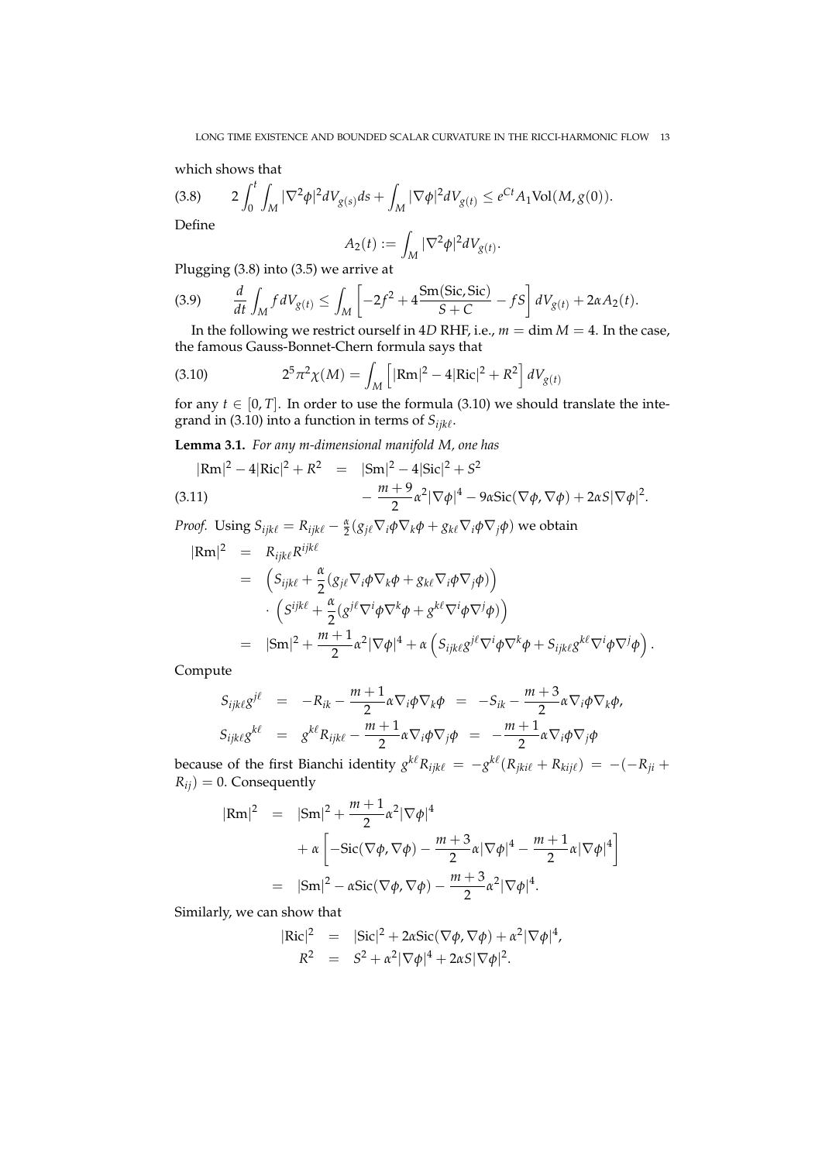which shows that

$$
(3.8) \t2\int_0^t \int_M |\nabla^2 \phi|^2 dV_{g(s)} ds + \int_M |\nabla \phi|^2 dV_{g(t)} \le e^{Ct} A_1 \text{Vol}(M, g(0)).
$$

Define

$$
A_2(t) := \int_M |\nabla^2 \phi|^2 dV_{g(t)}.
$$

Plugging (3.8) into (3.5) we arrive at

(3.9) 
$$
\frac{d}{dt} \int_M f dV_{g(t)} \le \int_M \left[ -2f^2 + 4 \frac{\text{Sm}(Sic, Sic)}{S+C} - fS \right] dV_{g(t)} + 2\alpha A_2(t).
$$

In the following we restrict ourself in 4*D* RHF, i.e.,  $m = \dim M = 4$ . In the case, the famous Gauss-Bonnet-Chern formula says that

(3.10) 
$$
2^{5} \pi^{2} \chi(M) = \int_{M} \left[ |Rm|^{2} - 4|Ric|^{2} + R^{2} \right] dV_{g(t)}
$$

for any  $t \in [0, T]$ . In order to use the formula (3.10) we should translate the integrand in (3.10) into a function in terms of  $S_{ijk\ell}$ .

**Lemma 3.1.** *For any m-dimensional manifold M, one has*

$$
|\text{Rm}|^2 - 4|\text{Ric}|^2 + R^2 = |\text{Sm}|^2 - 4|\text{Sic}|^2 + S^2
$$
  
(3.11)
$$
- \frac{m+9}{2}\alpha^2|\nabla\phi|^4 - 9\alpha\text{Sic}(\nabla\phi,\nabla\phi) + 2\alpha S|\nabla\phi|^2.
$$

*Proof.* Using  $S_{ijk\ell} = R_{ijk\ell} - \frac{\alpha}{2} (g_{j\ell} \nabla_i \phi \nabla_k \phi + g_{k\ell} \nabla_i \phi \nabla_j \phi)$  we obtain

$$
|\text{Rm}|^2 = R_{ijk\ell} R^{ijk\ell}
$$
  
=  $(S_{ijk\ell} + \frac{\alpha}{2} (g_{j\ell} \nabla_i \phi \nabla_k \phi + g_{k\ell} \nabla_i \phi \nabla_j \phi))$   
 $\cdot (S^{ijk\ell} + \frac{\alpha}{2} (g^{j\ell} \nabla^i \phi \nabla^k \phi + g^{k\ell} \nabla^i \phi \nabla^j \phi))$   
=  $|{\rm Sm}|^2 + \frac{m+1}{2} \alpha^2 |\nabla \phi|^4 + \alpha (S_{ijk\ell} g^{j\ell} \nabla^i \phi \nabla^k \phi + S_{ijk\ell} g^{k\ell} \nabla^i \phi \nabla^j \phi).$ 

Compute

$$
S_{ijk\ell}g^{j\ell} = -R_{ik} - \frac{m+1}{2}\alpha\nabla_i\phi\nabla_k\phi = -S_{ik} - \frac{m+3}{2}\alpha\nabla_i\phi\nabla_k\phi,
$$
  
\n
$$
S_{ijk\ell}g^{k\ell} = g^{k\ell}R_{ijk\ell} - \frac{m+1}{2}\alpha\nabla_i\phi\nabla_j\phi = -\frac{m+1}{2}\alpha\nabla_i\phi\nabla_j\phi
$$

because of the first Bianchi identity  $g^{k\ell}R_{ijk\ell} = -g^{k\ell}(R_{jki\ell} + R_{kij\ell}) = -(-R_{ji} + \ell)$  $R_{ij}$ ) = 0. Consequently

$$
|\text{Rm}|^2 = |\text{Sm}|^2 + \frac{m+1}{2} \alpha^2 |\nabla \phi|^4
$$
  
+  $\alpha \left[ -\text{Sic}(\nabla \phi, \nabla \phi) - \frac{m+3}{2} \alpha |\nabla \phi|^4 - \frac{m+1}{2} \alpha |\nabla \phi|^4 \right]$   
=  $|\text{Sm}|^2 - \alpha \text{Sic}(\nabla \phi, \nabla \phi) - \frac{m+3}{2} \alpha^2 |\nabla \phi|^4.$ 

Similarly, we can show that

$$
|\text{Ric}|^2 = |\text{Sic}|^2 + 2\alpha \text{Sic}(\nabla \phi, \nabla \phi) + \alpha^2 |\nabla \phi|^4,
$$
  

$$
R^2 = S^2 + \alpha^2 |\nabla \phi|^4 + 2\alpha S |\nabla \phi|^2.
$$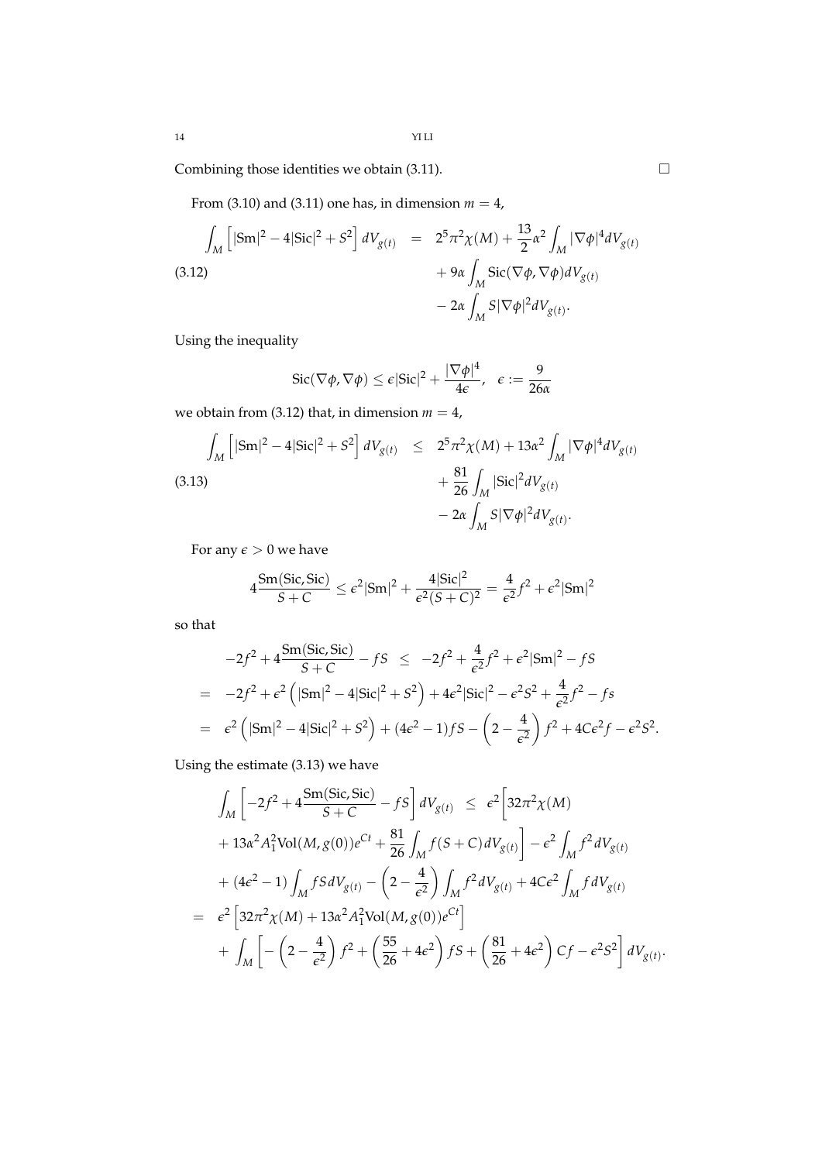Combining those identities we obtain (3.11).  $\Box$ 

From (3.10) and (3.11) one has, in dimension  $m = 4$ ,

$$
\int_{M} \left[ |\mathrm{Sm}|^{2} - 4|\mathrm{Sic}|^{2} + S^{2} \right] dV_{g(t)} = 2^{5} \pi^{2} \chi(M) + \frac{13}{2} \alpha^{2} \int_{M} |\nabla \phi|^{4} dV_{g(t)} + 9 \alpha \int_{M} \mathrm{Sic}(\nabla \phi, \nabla \phi) dV_{g(t)} - 2 \alpha \int_{M} S |\nabla \phi|^{2} dV_{g(t)}.
$$
\n(3.12)

Using the inequality

$$
\operatorname{Sic}(\nabla \phi, \nabla \phi) \le \epsilon |\operatorname{Sic}|^2 + \frac{|\nabla \phi|^4}{4\epsilon}, \quad \epsilon := \frac{9}{26\alpha}
$$

we obtain from (3.12) that, in dimension  $m = 4$ ,

$$
\int_{M} \left[ |\mathrm{Sm}|^{2} - 4|\mathrm{Sic}|^{2} + S^{2} \right] dV_{g(t)} \leq 2^{5} \pi^{2} \chi(M) + 13 \alpha^{2} \int_{M} |\nabla \phi|^{4} dV_{g(t)} + \frac{81}{26} \int_{M} |\mathrm{Sic}|^{2} dV_{g(t)} - 2 \alpha \int_{M} S |\nabla \phi|^{2} dV_{g(t)}.
$$
\n(3.13)

For any  $\epsilon > 0$  we have

$$
4\frac{\text{Sm}(Sic, \text{Sic})}{S+C} \le \epsilon^2 |\text{Sm}|^2 + \frac{4|\text{Sic}|^2}{\epsilon^2 (S+C)^2} = \frac{4}{\epsilon^2} f^2 + \epsilon^2 |\text{Sm}|^2
$$

so that

$$
-2f^2 + 4\frac{\operatorname{Sm}(\text{Sic}, \text{Sic})}{S+C} - fS \le -2f^2 + \frac{4}{\epsilon^2}f^2 + \epsilon^2|\text{Sm}|^2 - fS
$$
  
= -2f<sup>2</sup> +  $\epsilon^2$  (|\text{Sm}|<sup>2</sup> - 4|\text{Sic}|<sup>2</sup> + S<sup>2</sup>) + 4 $\epsilon^2|\text{Sic}|^2 - \epsilon^2S^2 + \frac{4}{\epsilon^2}f^2 - fs$   
=  $\epsilon^2$  (|\text{Sm}|<sup>2</sup> - 4|\text{Sic}|<sup>2</sup> + S<sup>2</sup>) + (4 $\epsilon^2$  - 1)fS - (2 -  $\frac{4}{\epsilon^2}$ ) f<sup>2</sup> + 4C $\epsilon^2 f - \epsilon^2 S^2$ .

Using the estimate (3.13) we have

$$
\int_{M} \left[ -2f^{2} + 4 \frac{\text{Sm}(Sic, Sic)}{S + C} - fS \right] dV_{g(t)} \leq \epsilon^{2} \left[ 32\pi^{2} \chi(M) + 13\alpha^{2} A_{1}^{2} \text{Vol}(M, g(0))e^{Ct} + \frac{81}{26} \int_{M} f(S + C) dV_{g(t)} \right] - \epsilon^{2} \int_{M} f^{2} dV_{g(t)} + (4\epsilon^{2} - 1) \int_{M} fS dV_{g(t)} - \left( 2 - \frac{4}{\epsilon^{2}} \right) \int_{M} f^{2} dV_{g(t)} + 4C\epsilon^{2} \int_{M} f dV_{g(t)} \n= \epsilon^{2} \left[ 32\pi^{2} \chi(M) + 13\alpha^{2} A_{1}^{2} \text{Vol}(M, g(0))e^{Ct} \right] \n+ \int_{M} \left[ -\left( 2 - \frac{4}{\epsilon^{2}} \right) f^{2} + \left( \frac{55}{26} + 4\epsilon^{2} \right) fS + \left( \frac{81}{26} + 4\epsilon^{2} \right) Cf - \epsilon^{2} S^{2} \right] dV_{g(t)}.
$$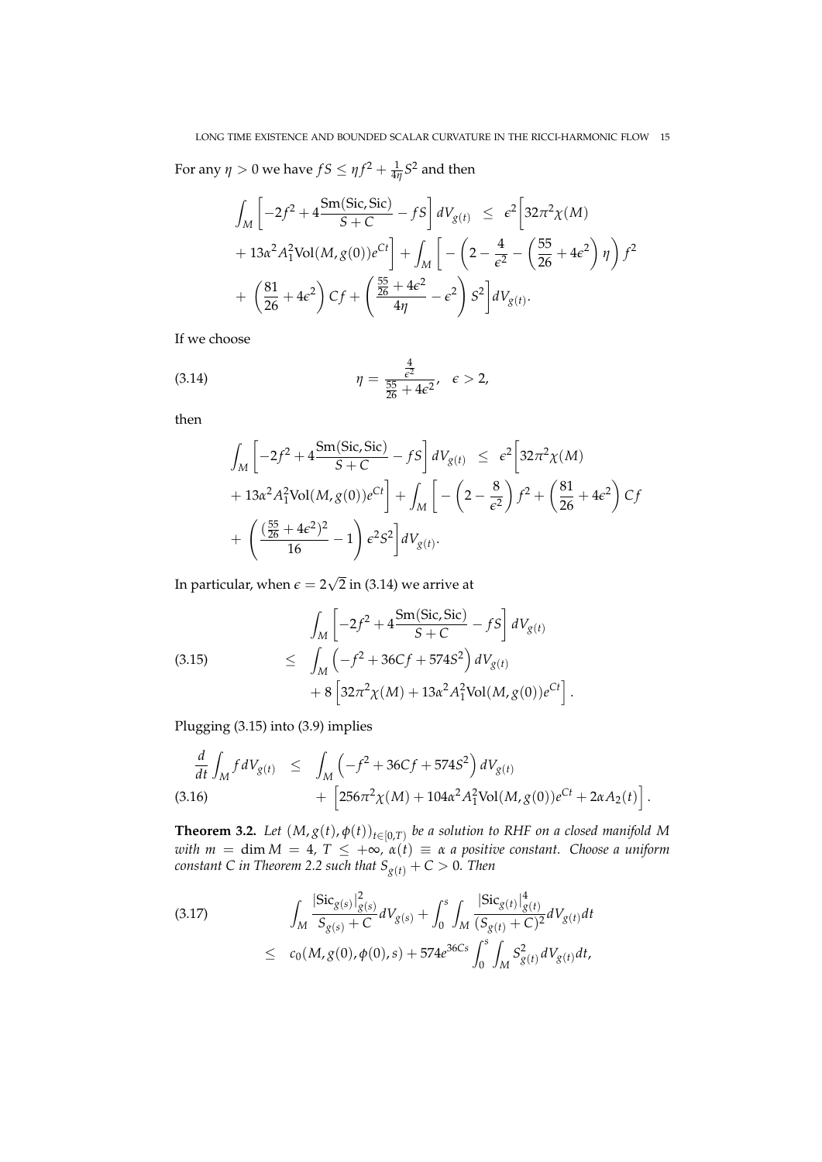For any  $\eta > 0$  we have  $fS \leq \eta f^2 + \frac{1}{4\eta}S^2$  and then

$$
\int_{M} \left[ -2f^{2} + 4 \frac{\text{Sm}(\text{Sic}, \text{Sic})}{S + C} - fS \right] dV_{g(t)} \leq \epsilon^{2} \left[ 32\pi^{2} \chi(M) + 13\alpha^{2} A_{1}^{2} \text{Vol}(M, g(0)) e^{Ct} \right] + \int_{M} \left[ -\left( 2 - \frac{4}{\epsilon^{2}} - \left( \frac{55}{26} + 4\epsilon^{2} \right) \eta \right) f^{2} + \left( \frac{81}{26} + 4\epsilon^{2} \right) Cf + \left( \frac{\frac{55}{26} + 4\epsilon^{2}}{4\eta} - \epsilon^{2} \right) S^{2} \right] dV_{g(t)}.
$$

If we choose

(3.14) 
$$
\eta = \frac{\frac{4}{\epsilon^2}}{\frac{55}{26} + 4\epsilon^2}, \quad \epsilon > 2,
$$

then

$$
\int_{M} \left[ -2f^{2} + 4 \frac{Sm(Sic, Sic)}{S + C} - fS \right] dV_{g(t)} \leq \epsilon^{2} \left[ 32\pi^{2}\chi(M) + 13\alpha^{2} A_{1}^{2} Vol(M, g(0))e^{Ct} \right] + \int_{M} \left[ -\left( 2 - \frac{8}{\epsilon^{2}} \right) f^{2} + \left( \frac{81}{26} + 4\epsilon^{2} \right) Cf + \left( \frac{(\frac{55}{26} + 4\epsilon^{2})^{2}}{16} - 1 \right) \epsilon^{2} S^{2} \right] dV_{g(t)}.
$$

In particular, when  $\epsilon=2$ √ 2 in (3.14) we arrive at

$$
\int_{M} \left[ -2f^{2} + 4 \frac{\text{Sm}(Sic, Sic)}{S + C} - fS \right] dV_{g(t)}
$$
\n
$$
\leq \int_{M} \left( -f^{2} + 36Cf + 574S^{2} \right) dV_{g(t)}
$$
\n
$$
+ 8 \left[ 32\pi^{2}\chi(M) + 13\alpha^{2}A_{1}^{2}\text{Vol}(M, g(0))e^{Ct} \right].
$$

Plugging (3.15) into (3.9) implies

$$
\frac{d}{dt} \int_M f dV_{g(t)} \leq \int_M \left( -f^2 + 36Cf + 574S^2 \right) dV_{g(t)} \n+ \left[ 256\pi^2 \chi(M) + 104\alpha^2 A_1^2 \text{Vol}(M, g(0))e^{Ct} + 2\alpha A_2(t) \right].
$$
\n(3.16)

**Theorem 3.2.** Let  $(M, g(t), \phi(t))_{t \in [0,T)}$  be a solution to RHF on a closed manifold M *with m* = dim *M* = 4*, T* ≤ +∞*, α*(*t*) ≡ *α a positive constant. Choose a uniform constant C in Theorem 2.2 such that Sg*(*t*) + *C* > 0*. Then*

$$
(3.17) \qquad \int_{M} \frac{|\text{Sic}_{g(s)}|_{g(s)}^{2}}{S_{g(s)} + C} dV_{g(s)} + \int_{0}^{s} \int_{M} \frac{|\text{Sic}_{g(t)}|_{g(t)}^{4}}{(S_{g(t)} + C)^{2}} dV_{g(t)} dt
$$
  

$$
\leq c_{0}(M, g(0), \phi(0), s) + 574e^{36Cs} \int_{0}^{s} \int_{M} S_{g(t)}^{2} dV_{g(t)} dt,
$$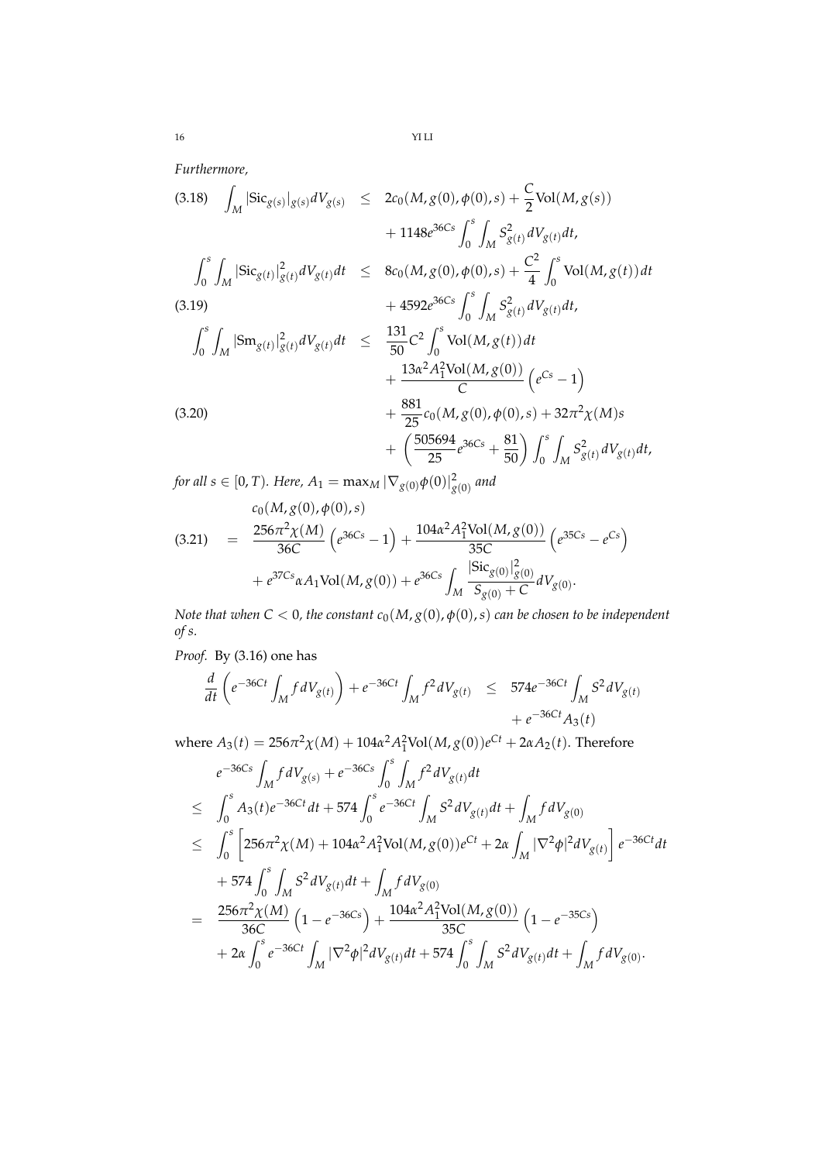*Furthermore,*

$$
(3.18) \int_{M} |\text{Sic}_{g(s)}|_{g(s)} dV_{g(s)} \leq 2c_{0}(M, g(0), \phi(0), s) + \frac{C}{2} \text{Vol}(M, g(s)) + 1148e^{36Cs} \int_{0}^{s} \int_{M} S_{g(t)}^{2} dV_{g(t)} dt, \n\int_{0}^{s} \int_{M} |\text{Sic}_{g(t)}|_{g(t)}^{2} dV_{g(t)} dt \leq 8c_{0}(M, g(0), \phi(0), s) + \frac{C^{2}}{4} \int_{0}^{s} \text{Vol}(M, g(t)) dt + 4592e^{36Cs} \int_{0}^{s} \int_{M} S_{g(t)}^{2} dV_{g(t)} dt, \n\int_{0}^{s} \int_{M} |\text{Sm}_{g(t)}|_{g(t)}^{2} dV_{g(t)} dt \leq \frac{131}{50} C^{2} \int_{0}^{s} \text{Vol}(M, g(t)) dt + \frac{13\alpha^{2} A_{1}^{2} \text{Vol}(M, g(0))}{C} (e^{Cs} - 1) + \frac{881}{25} c_{0}(M, g(0), \phi(0), s) + 32\pi^{2} \chi(M) s + \left(\frac{505694}{25} e^{36Cs} + \frac{81}{50}\right) \int_{0}^{s} \int_{M} S_{g(t)}^{2} dV_{g(t)} dt,
$$

for all  $s\in[0,T)$ *. Here,*  $A_1=\max_M|\nabla_{g(0)}\phi(0)|^2_{\stackrel{\ }{g}(0)}$  *and* 

$$
(3.21) \quad = \quad \frac{c_0(M, g(0), \phi(0), s)}{36C} \quad \left( e^{36Cs} - 1 \right) + \frac{104\alpha^2 A_1^2 \text{Vol}(M, g(0))}{35C} \left( e^{35Cs} - e^{Cs} \right) + e^{37Cs} \alpha A_1 \text{Vol}(M, g(0)) + e^{36Cs} \int_M \frac{|\text{Sic}_{g(0)}|^2_{g(0)}}{S_{g(0)} + C} dV_{g(0)}.
$$

*Note that when*  $C < 0$ , the constant  $c_0(M, g(0), \phi(0), s)$  can be chosen to be independent *of s.*

*Proof.* By (3.16) one has

$$
\frac{d}{dt}\left(e^{-36Ct}\int_{M} f dV_{g(t)}\right) + e^{-36Ct}\int_{M} f^{2} dV_{g(t)} \leq 574e^{-36Ct}\int_{M} S^{2} dV_{g(t)} + e^{-36Ct}A_{3}(t)
$$

where  $A_3(t) = 256\pi^2 \chi(M) + 104\alpha^2 A_1^2$ Vol $(M, g(0))e^{Ct} + 2\alpha A_2(t)$ . Therefore

$$
e^{-36Cs} \int_{M} f dV_{g(s)} + e^{-36Cs} \int_{0}^{s} \int_{M} f^{2} dV_{g(t)} dt
$$
  
\n
$$
\leq \int_{0}^{s} A_{3}(t) e^{-36Ct} dt + 574 \int_{0}^{s} e^{-36Ct} \int_{M} S^{2} dV_{g(t)} dt + \int_{M} f dV_{g(0)}
$$
  
\n
$$
\leq \int_{0}^{s} \left[ 256\pi^{2} \chi(M) + 104\alpha^{2} A_{1}^{2} Vol(M, g(0)) e^{Ct} + 2\alpha \int_{M} |\nabla^{2} \phi|^{2} dV_{g(t)} \right] e^{-36Ct} dt
$$
  
\n
$$
+ 574 \int_{0}^{s} \int_{M} S^{2} dV_{g(t)} dt + \int_{M} f dV_{g(0)}
$$
  
\n
$$
= \frac{256\pi^{2} \chi(M)}{36C} \left( 1 - e^{-36Cs} \right) + \frac{104\alpha^{2} A_{1}^{2} Vol(M, g(0))}{35C} \left( 1 - e^{-35Cs} \right)
$$
  
\n
$$
+ 2\alpha \int_{0}^{s} e^{-36Ct} \int_{M} |\nabla^{2} \phi|^{2} dV_{g(t)} dt + 574 \int_{0}^{s} \int_{M} S^{2} dV_{g(t)} dt + \int_{M} f dV_{g(0)}.
$$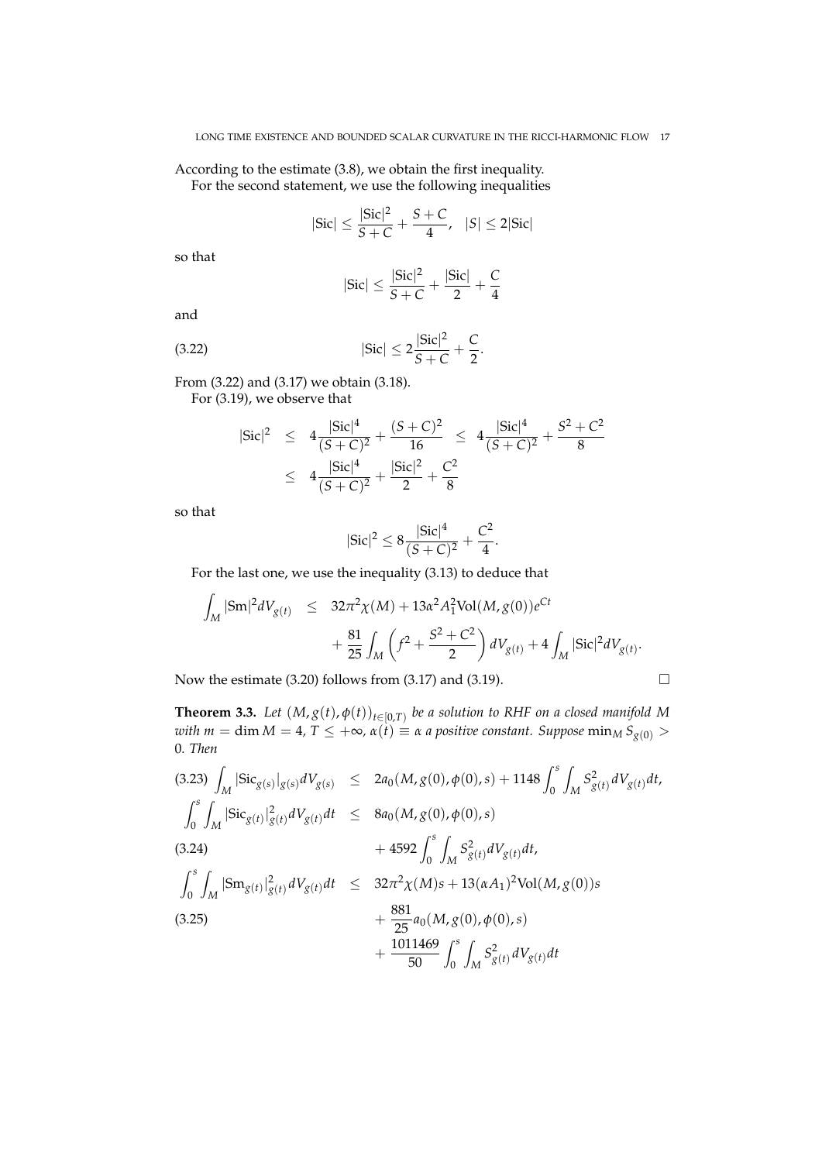According to the estimate (3.8), we obtain the first inequality. For the second statement, we use the following inequalities

$$
|Sic| \le \frac{|Sic|^2}{S+C} + \frac{S+C}{4}, \quad |S| \le 2|Sic|
$$

so that

$$
|Sic|\leq \frac{|Sic|^2}{S+C}+\frac{|Sic|}{2}+\frac{C}{4}
$$

and

(3.22) 
$$
|\text{Sic}| \le 2 \frac{|\text{Sic}|^2}{S+C} + \frac{C}{2}.
$$

From (3.22) and (3.17) we obtain (3.18).

For (3.19), we observe that

$$
|\text{Sic}|^2 \le 4 \frac{|\text{Sic}|^4}{(S+C)^2} + \frac{(S+C)^2}{16} \le 4 \frac{|\text{Sic}|^4}{(S+C)^2} + \frac{S^2+C^2}{8}
$$
  

$$
\le 4 \frac{|\text{Sic}|^4}{(S+C)^2} + \frac{|\text{Sic}|^2}{2} + \frac{C^2}{8}
$$

so that

$$
|Sic|^2 \leq 8 \frac{|Sic|^4}{(S+C)^2} + \frac{C^2}{4}.
$$

For the last one, we use the inequality (3.13) to deduce that

$$
\int_{M} |\mathrm{Sm}|^{2} dV_{g(t)} \leq 32\pi^{2} \chi(M) + 13\alpha^{2} A_{1}^{2} \mathrm{Vol}(M, g(0)) e^{Ct} + \frac{81}{25} \int_{M} \left( f^{2} + \frac{S^{2} + C^{2}}{2} \right) dV_{g(t)} + 4 \int_{M} |\mathrm{Sic}|^{2} dV_{g(t)}.
$$

Now the estimate (3.20) follows from (3.17) and (3.19).  $\Box$ 

$$
\Box
$$

**Theorem 3.3.** Let  $(M, g(t), \phi(t))_{t \in [0,T)}$  be a solution to RHF on a closed manifold M *with m* = dim *M* = 4,  $T \leq +\infty$ ,  $\alpha(t) \equiv \alpha$  *a positive constant. Suppose*  $\min_{M} S_{g(0)} >$ 0*. Then*

(3.23) 
$$
\int_{M} |\text{Sic}_{g(s)}|_{g(s)} dV_{g(s)} \leq 2a_{0}(M, g(0), \phi(0), s) + 1148 \int_{0}^{s} \int_{M} S_{g(t)}^{2} dV_{g(t)} dt,
$$
  
\n
$$
\int_{0}^{s} \int_{M} |\text{Sic}_{g(t)}|_{g(t)}^{2} dV_{g(t)} dt \leq 8a_{0}(M, g(0), \phi(0), s)
$$
  
\n(3.24) 
$$
+ 4592 \int_{0}^{s} \int_{M} S_{g(t)}^{2} dV_{g(t)} dt,
$$
  
\n
$$
\int_{0}^{s} \int_{M} |\text{Sm}_{g(t)}|_{g(t)}^{2} dV_{g(t)} dt \leq 32\pi^{2} \chi(M)s + 13(\alpha A_{1})^{2} \text{Vol}(M, g(0))s
$$
  
\n(3.25) 
$$
+ \frac{881}{25} a_{0}(M, g(0), \phi(0), s)
$$
  
\n
$$
+ \frac{1011469}{50} \int_{0}^{s} \int_{M} S_{g(t)}^{2} dV_{g(t)} dt
$$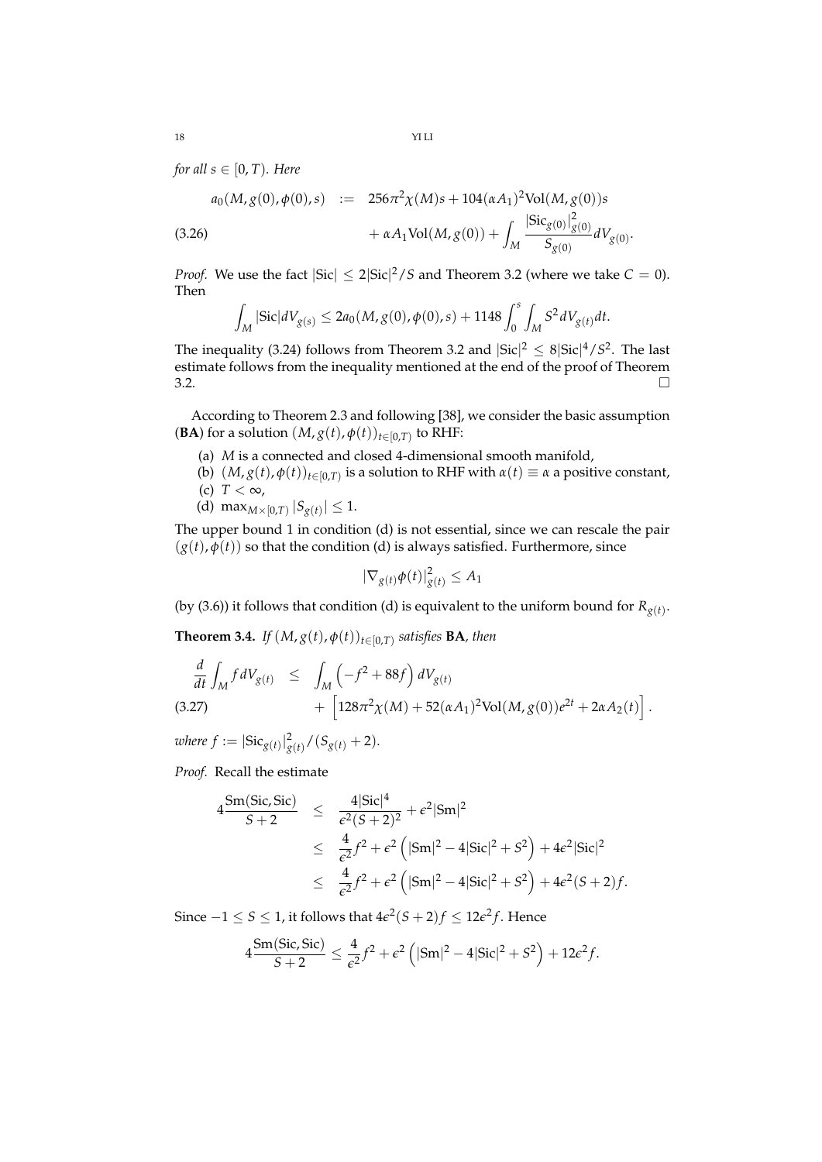*for all*  $s \in [0, T)$ *. Here* 

$$
a_0(M, g(0), \phi(0), s) := 256\pi^2 \chi(M)s + 104(\alpha A_1)^2 \text{Vol}(M, g(0))s
$$
  

$$
+ \alpha A_1 \text{Vol}(M, g(0)) + \int_M \frac{|\text{Sic}_{g(0)}|_{g(0)}^2}{S_{g(0)}} dV_{g(0)}.
$$

*Proof.* We use the fact  $|\text{Sic}| \leq 2|\text{Sic}|^2/S$  and Theorem 3.2 (where we take  $C = 0$ ). Then

$$
\int_M |\text{Sic}|dV_{g(s)} \leq 2a_0(M, g(0), \phi(0), s) + 1148 \int_0^s \int_M S^2 dV_{g(t)} dt.
$$

The inequality (3.24) follows from Theorem 3.2 and  $|\text{Sic}|^2 \leq 8 |\text{Sic}|^4 / S^2$ . The last estimate follows from the inequality mentioned at the end of the proof of Theorem  $\overline{3.2}$ .

According to Theorem 2.3 and following [38], we consider the basic assumption **(BA**) for a solution  $(M, g(t), \phi(t))_{t \in [0, T)}$  to RHF:

- (a) *M* is a connected and closed 4-dimensional smooth manifold,
- (b)  $(M, g(t), \phi(t))_{t \in [0,T)}$  is a solution to RHF with  $\alpha(t) \equiv \alpha$  a positive constant, (c)  $T < \infty$ ,
	- (d) max<sub>*M*×[0,*T*)</sub>  $|S_{g(t)}| \le 1$ .

The upper bound 1 in condition (d) is not essential, since we can rescale the pair  $(g(t), \phi(t))$  so that the condition (d) is always satisfied. Furthermore, since

$$
|\nabla_{g(t)}\phi(t)|_{g(t)}^2 \le A_1
$$

(by (3.6)) it follows that condition (d) is equivalent to the uniform bound for  $R_{g(t)}$ .

**Theorem 3.4.** *If*  $(M, g(t), \phi(t))_{t \in [0,T)}$  satisfies **BA**, then

$$
\frac{d}{dt} \int_M f dV_{g(t)} \leq \int_M \left( -f^2 + 88f \right) dV_{g(t)} \n+ \left[ 128\pi^2 \chi(M) + 52(\alpha A_1)^2 \text{Vol}(M, g(0))e^{2t} + 2\alpha A_2(t) \right].
$$
\n(3.27)

 $where f := |\text{Sic}_{g(t)}|_{g(t)}^2 / (S_{g(t)} + 2)$ *.* 

*Proof.* Recall the estimate

$$
4 \frac{\text{Sm}(\text{Sic}, \text{Sic})}{S+2} \le \frac{4|\text{Sic}|^4}{\epsilon^2(S+2)^2} + \epsilon^2|\text{Sm}|^2
$$
  
\n
$$
\le \frac{4}{\epsilon^2}f^2 + \epsilon^2\left(|\text{Sm}|^2 - 4|\text{Sic}|^2 + S^2\right) + 4\epsilon^2|\text{Sic}|^2
$$
  
\n
$$
\le \frac{4}{\epsilon^2}f^2 + \epsilon^2\left(|\text{Sm}|^2 - 4|\text{Sic}|^2 + S^2\right) + 4\epsilon^2(S+2)f.
$$

Since  $-1 \leq S \leq 1$ , it follows that  $4\epsilon^2(S+2)f \leq 12\epsilon^2f$ . Hence

$$
4\frac{\text{Sm}(\text{Sic},\text{Sic})}{S+2} \leq \frac{4}{\epsilon^2}f^2 + \epsilon^2\left(|\text{Sm}|^2 - 4|\text{Sic}|^2 + S^2\right) + 12\epsilon^2 f.
$$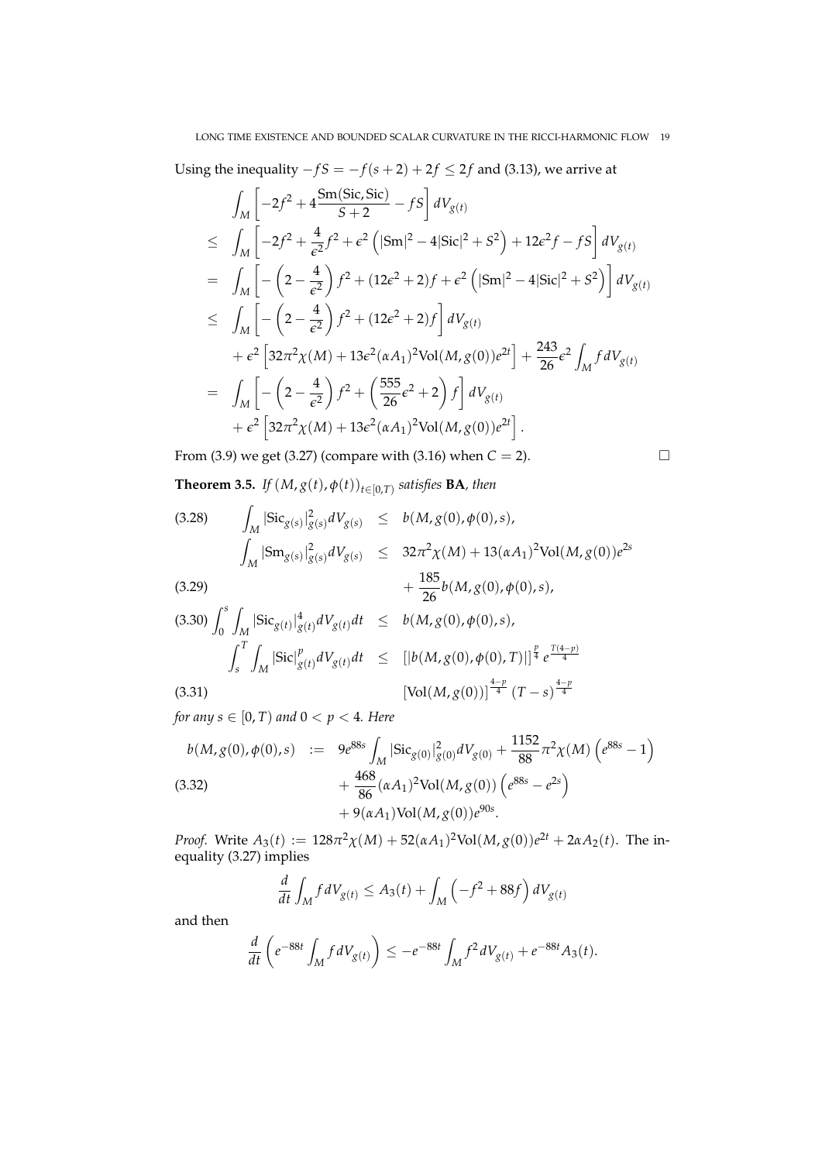Using the inequality  $-fS = -f(s + 2) + 2f \le 2f$  and (3.13), we arrive at

$$
\int_{M} \left[ -2f^{2} + 4 \frac{\text{Sm}(Sic, Sic)}{S+2} - fS \right] dV_{g(t)} \n\leq \int_{M} \left[ -2f^{2} + \frac{4}{\epsilon^{2}} f^{2} + \epsilon^{2} (|\text{Sm}|^{2} - 4|\text{sic}|^{2} + S^{2}) + 12\epsilon^{2} f - fS \right] dV_{g(t)} \n= \int_{M} \left[ -\left( 2 - \frac{4}{\epsilon^{2}} \right) f^{2} + (12\epsilon^{2} + 2)f + \epsilon^{2} (|\text{Sm}|^{2} - 4|\text{sic}|^{2} + S^{2}) \right] dV_{g(t)} \n\leq \int_{M} \left[ -\left( 2 - \frac{4}{\epsilon^{2}} \right) f^{2} + (12\epsilon^{2} + 2)f \right] dV_{g(t)} \n+ \epsilon^{2} \left[ 32\pi^{2} \chi(M) + 13\epsilon^{2} (\alpha A_{1})^{2} \text{Vol}(M, g(0)) e^{2t} \right] + \frac{243}{26} \epsilon^{2} \int_{M} f dV_{g(t)} \n= \int_{M} \left[ -\left( 2 - \frac{4}{\epsilon^{2}} \right) f^{2} + \left( \frac{555}{26} \epsilon^{2} + 2 \right) f \right] dV_{g(t)} \n+ \epsilon^{2} \left[ 32\pi^{2} \chi(M) + 13\epsilon^{2} (\alpha A_{1})^{2} \text{Vol}(M, g(0)) e^{2t} \right].
$$

From (3.9) we get (3.27) (compare with (3.16) when *C* = 2).

$$
\Box
$$

**Theorem 3.5.** *If*  $(M, g(t), \phi(t))_{t \in [0,T)}$  satisfies **BA**, then

(3.28) 
$$
\int_{M} |\text{Sic}_{g(s)}|_{g(s)}^{2} dV_{g(s)} \leq b(M, g(0), \phi(0), s),
$$

$$
\int_{M} |\text{Sm}_{g(s)}|_{g(s)}^{2} dV_{g(s)} \leq 32\pi^{2} \chi(M) + 13(\alpha A_{1})^{2} \text{Vol}(M, g(0))e^{2s} + \frac{185}{26} b(M, g(0), \phi(0), s),
$$

$$
(3.30) \int_0^s \int_M |\text{Sic}_{g(t)}|^4 g(t) dV_{g(t)} dt \leq b(M, g(0), \phi(0), s),
$$
  

$$
\int_s^T \int_M |\text{Sic}|^p g(t) dV_{g(t)} dt \leq [b(M, g(0), \phi(0), T)]^{\frac{p}{4}} e^{\frac{T(4-p)}{4}}
$$
  

$$
(3.31)
$$
  

$$
[\text{Vol}(M, g(0))]^{\frac{4-p}{4}} (T-s)^{\frac{4-p}{4}}
$$

*for any*  $s \in [0, T)$  *and*  $0 < p < 4$ *. Here* 

$$
b(M, g(0), \phi(0), s) := 9e^{88s} \int_M |\text{Sic}_{g(0)}|_{g(0)}^2 dV_{g(0)} + \frac{1152}{88} \pi^2 \chi(M) \left( e^{88s} - 1 \right)
$$
  
(3.32)  

$$
+ \frac{468}{86} (\alpha A_1)^2 \text{Vol}(M, g(0)) \left( e^{88s} - e^{2s} \right)
$$
  

$$
+ 9(\alpha A_1) \text{Vol}(M, g(0)) e^{90s}.
$$

*Proof.* Write  $A_3(t) := 128\pi^2 \chi(M) + 52(\alpha A_1)^2 \text{Vol}(M, g(0))e^{2t} + 2\alpha A_2(t)$ . The inequality (3.27) implies

$$
\frac{d}{dt} \int_M f dV_{g(t)} \le A_3(t) + \int_M \left(-f^2 + 88f\right) dV_{g(t)}
$$

and then

$$
\frac{d}{dt}\left(e^{-88t}\int_M f dV_{g(t)}\right) \le -e^{-88t}\int_M f^2 dV_{g(t)} + e^{-88t}A_3(t).
$$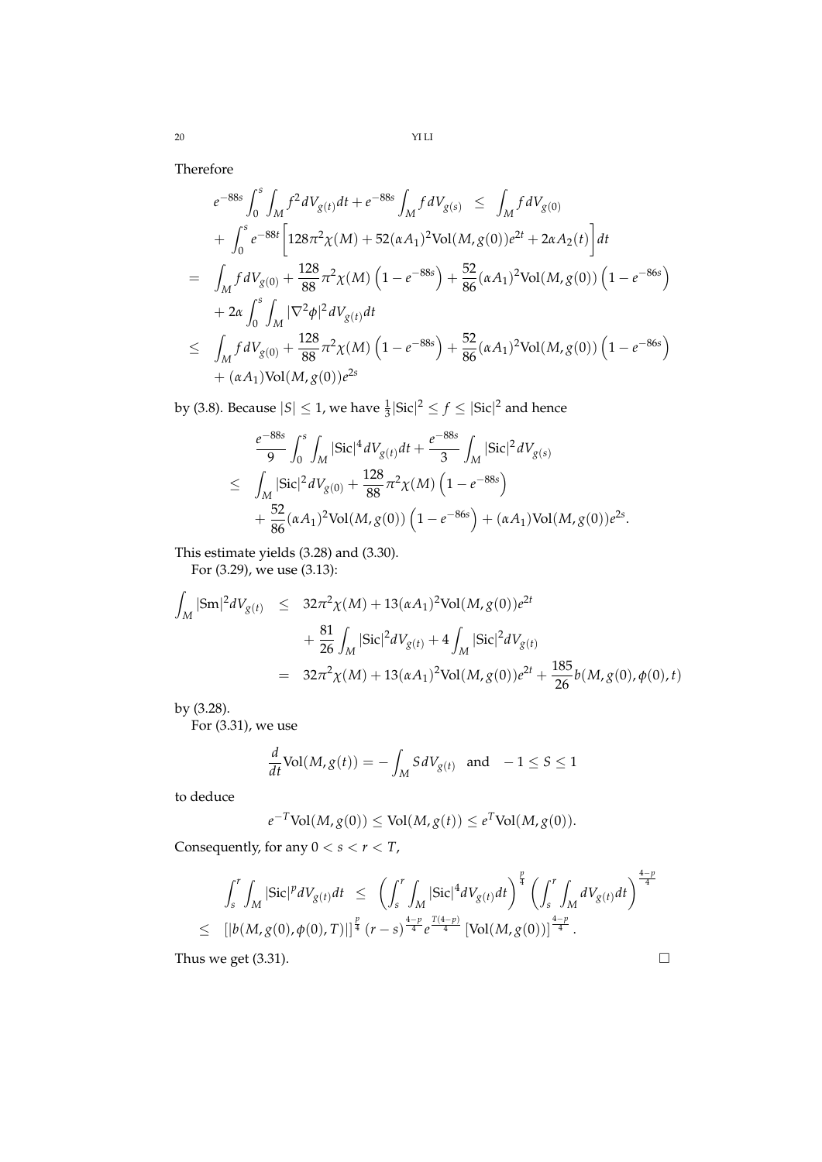Therefore

$$
e^{-88s} \int_0^s \int_M f^2 dV_{g(t)} dt + e^{-88s} \int_M f dV_{g(s)} \le \int_M f dV_{g(0)}
$$
  
+ 
$$
\int_0^s e^{-88t} \left[ 128\pi^2 \chi(M) + 52(\alpha A_1)^2 \text{Vol}(M, g(0)) e^{2t} + 2\alpha A_2(t) \right] dt
$$
  
= 
$$
\int_M f dV_{g(0)} + \frac{128}{88} \pi^2 \chi(M) \left( 1 - e^{-88s} \right) + \frac{52}{86} (\alpha A_1)^2 \text{Vol}(M, g(0)) \left( 1 - e^{-86s} \right)
$$
  
+ 
$$
2\alpha \int_0^s \int_M |\nabla^2 \phi|^2 dV_{g(t)} dt
$$
  

$$
\le \int_M f dV_{g(0)} + \frac{128}{88} \pi^2 \chi(M) \left( 1 - e^{-88s} \right) + \frac{52}{86} (\alpha A_1)^2 \text{Vol}(M, g(0)) \left( 1 - e^{-86s} \right)
$$
  
+ 
$$
(\alpha A_1) \text{Vol}(M, g(0)) e^{2s}
$$

by (3.8). Because  $|S| \leq 1$ , we have  $\frac{1}{3}|\text{Sic}|^2 \leq f \leq |\text{Sic}|^2$  and hence

$$
\frac{e^{-88s}}{9} \int_0^s \int_M |\text{Sic}|^4 dV_{g(t)} dt + \frac{e^{-88s}}{3} \int_M |\text{Sic}|^2 dV_{g(s)} \n\leq \int_M |\text{Sic}|^2 dV_{g(0)} + \frac{128}{88} \pi^2 \chi(M) \left(1 - e^{-88s}\right) \n+ \frac{52}{86} (\alpha A_1)^2 \text{Vol}(M, g(0)) \left(1 - e^{-86s}\right) + (\alpha A_1) \text{Vol}(M, g(0)) e^{2s}.
$$

This estimate yields (3.28) and (3.30).

For (3.29), we use (3.13):

$$
\int_{M} |\mathrm{Sm}|^{2} dV_{g(t)} \leq 32\pi^{2} \chi(M) + 13(\alpha A_{1})^{2} \mathrm{Vol}(M, g(0))e^{2t} \n+ \frac{81}{26} \int_{M} |\mathrm{Sic}|^{2} dV_{g(t)} + 4 \int_{M} |\mathrm{Sic}|^{2} dV_{g(t)} \n= 32\pi^{2} \chi(M) + 13(\alpha A_{1})^{2} \mathrm{Vol}(M, g(0))e^{2t} + \frac{185}{26} b(M, g(0), \phi(0), t)
$$

by (3.28).

For (3.31), we use

$$
\frac{d}{dt}\text{Vol}(M,g(t)) = -\int_M S dV_{g(t)} \text{ and } -1 \le S \le 1
$$

to deduce

$$
e^{-T} \text{Vol}(M, g(0)) \le \text{Vol}(M, g(t)) \le e^{T} \text{Vol}(M, g(0)).
$$

Consequently, for any  $0 < s < r < T$ ,

$$
\int_{s}^{r} \int_{M} |\text{Sic}|^{p} dV_{g(t)} dt \leq \left( \int_{s}^{r} \int_{M} |\text{Sic}|^{4} dV_{g(t)} dt \right)^{\frac{p}{4}} \left( \int_{s}^{r} \int_{M} dV_{g(t)} dt \right)^{\frac{4-p}{4}}
$$
  

$$
\leq [ |b(M, g(0), \phi(0), T)|]^{\frac{p}{4}} (r - s)^{\frac{4-p}{4}} e^{\frac{T(4-p)}{4}} [ \text{Vol}(M, g(0))]^{\frac{4-p}{4}}.
$$

Thus we get  $(3.31)$ .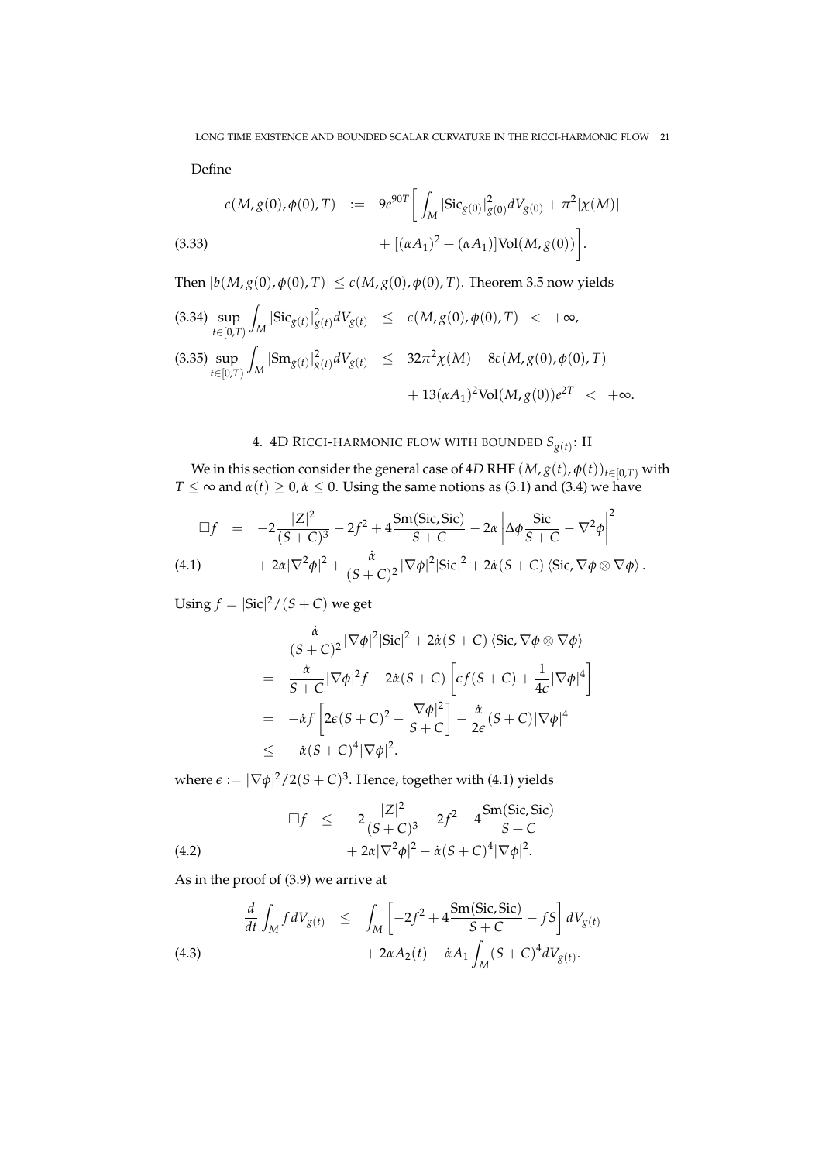Define

(3.33)  

$$
c(M, g(0), \phi(0), T) := 9e^{90T} \left[ \int_M |\text{Sic}_{g(0)}|_{g(0)}^2 dV_{g(0)} + \pi^2 |\chi(M)| + [(\alpha A_1)^2 + (\alpha A_1)] \text{Vol}(M, g(0)) \right].
$$

Then  $|b(M, g(0), \phi(0), T)| \le c(M, g(0), \phi(0), T)$ . Theorem 3.5 now yields

$$
(3.34) \sup_{t \in [0,T)} \int_{M} |\text{Sic}_{g(t)}|_{g(t)}^2 dV_{g(t)} \le c(M, g(0), \phi(0), T) < +\infty,
$$
  

$$
(3.35) \sup_{t \in [0,T)} \int_{M} |\text{Sm}_{g(t)}|_{g(t)}^2 dV_{g(t)} \le 32\pi^2 \chi(M) + 8c(M, g(0), \phi(0), T) + 13(\alpha A_1)^2 \text{Vol}(M, g(0))e^{2T} < +\infty.
$$

## 4. 4D RICCI-HARMONIC FLOW WITH BOUNDED *Sg*(*t*) : II

We in this section consider the general case of 4*D* RHF  $(M, g(t), \phi(t))_{t \in [0,T)}$  with  $T \leq \infty$  and  $\alpha(t) \geq 0$ ,  $\alpha \leq 0$ . Using the same notions as (3.1) and (3.4) we have

$$
\Box f = -2\frac{|Z|^2}{(S+C)^3} - 2f^2 + 4\frac{\text{Sm}(Sic, Sic)}{S+C} - 2\alpha \left| \Delta \phi \frac{\text{Sic}}{S+C} - \nabla^2 \phi \right|^2
$$
  
(4.1) 
$$
+ 2\alpha |\nabla^2 \phi|^2 + \frac{\dot{\alpha}}{(S+C)^2} |\nabla \phi|^2 |\text{Sic}|^2 + 2\dot{\alpha} (S+C) \langle \text{Sic}, \nabla \phi \otimes \nabla \phi \rangle.
$$

Using  $f = |{\rm Sic}|^2 / (S + C)$  we get

$$
\frac{\dot{\alpha}}{(S+C)^2} |\nabla \phi|^2 |\text{Sic}|^2 + 2\dot{\alpha}(S+C) \langle \text{Sic}, \nabla \phi \otimes \nabla \phi \rangle
$$
\n
$$
= \frac{\dot{\alpha}}{S+C} |\nabla \phi|^2 f - 2\dot{\alpha}(S+C) \left[ \epsilon f(S+C) + \frac{1}{4\epsilon} |\nabla \phi|^4 \right]
$$
\n
$$
= -\dot{\alpha} f \left[ 2\epsilon (S+C)^2 - \frac{|\nabla \phi|^2}{S+C} \right] - \frac{\dot{\alpha}}{2\epsilon} (S+C) |\nabla \phi|^4
$$
\n
$$
\leq -\dot{\alpha}(S+C)^4 |\nabla \phi|^2.
$$

where  $\epsilon := |\nabla \phi|^2/2(S+C)^3$ . Hence, together with (4.1) yields

(4.2) 
$$
\Box f \leq -2 \frac{|Z|^2}{(S+C)^3} - 2f^2 + 4 \frac{\text{Sm}(Sic, Sic)}{S+C} + 2\alpha |\nabla^2 \phi|^2 - \dot{\alpha} (S+C)^4 |\nabla \phi|^2.
$$

As in the proof of (3.9) we arrive at

(4.3)  
\n
$$
\frac{d}{dt} \int_M f dV_{g(t)} \leq \int_M \left[ -2f^2 + 4 \frac{\text{Sm}(Sic, Sic)}{S + C} - fS \right] dV_{g(t)} + 2\alpha A_2(t) - \dot{\alpha} A_1 \int_M (S + C)^4 dV_{g(t)}.
$$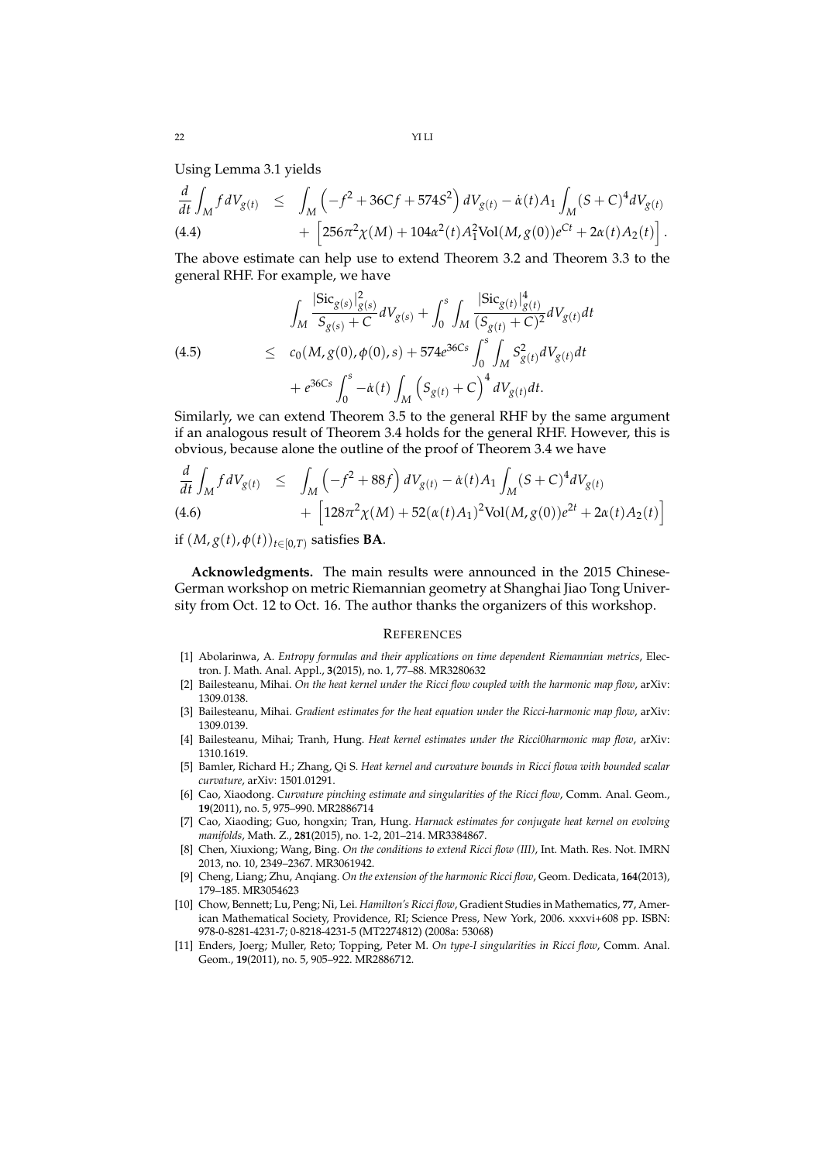Using Lemma 3.1 yields

$$
\frac{d}{dt} \int_M f dV_{g(t)} \leq \int_M \left( -f^2 + 36Cf + 574S^2 \right) dV_{g(t)} - \dot{\alpha}(t) A_1 \int_M (S + C)^4 dV_{g(t)} \n+ \left[ 256\pi^2 \chi(M) + 104\alpha^2(t) A_1^2 \text{Vol}(M, g(0)) e^{Ct} + 2\alpha(t) A_2(t) \right].
$$

The above estimate can help use to extend Theorem 3.2 and Theorem 3.3 to the general RHF. For example, we have

(4.5)  
\n
$$
\int_{M} \frac{|\text{Sic}_{g(s)}|_{g(s)}^{2}}{S_{g(s)} + C} dV_{g(s)} + \int_{0}^{s} \int_{M} \frac{|\text{Sic}_{g(t)}|_{g(t)}^{4}}{(S_{g(t)} + C)^{2}} dV_{g(t)} dt
$$
\n
$$
\leq c_{0}(M, g(0), \phi(0), s) + 574e^{36Cs} \int_{0}^{s} \int_{M} S_{g(t)}^{2} dV_{g(t)} dt + e^{36Cs} \int_{0}^{s} -\dot{\alpha}(t) \int_{M} (S_{g(t)} + C)^{4} dV_{g(t)} dt.
$$

Similarly, we can extend Theorem 3.5 to the general RHF by the same argument if an analogous result of Theorem 3.4 holds for the general RHF. However, this is obvious, because alone the outline of the proof of Theorem 3.4 we have

$$
\frac{d}{dt} \int_{M} f dV_{g(t)} \leq \int_{M} \left( -f^{2} + 88f \right) dV_{g(t)} - \dot{\alpha}(t) A_{1} \int_{M} (S + C)^{4} dV_{g(t)} + \left[ 128\pi^{2} \chi(M) + 52(\alpha(t)A_{1})^{2} \text{Vol}(M, g(0))e^{2t} + 2\alpha(t)A_{2}(t) \right]
$$
\n(4.6)

if  $(M, g(t), \phi(t))_{t \in [0,T)}$  satisfies **BA**.

**Acknowledgments.** The main results were announced in the 2015 Chinese-German workshop on metric Riemannian geometry at Shanghai Jiao Tong University from Oct. 12 to Oct. 16. The author thanks the organizers of this workshop.

#### **REFERENCES**

- [1] Abolarinwa, A. *Entropy formulas and their applications on time dependent Riemannian metrics*, Electron. J. Math. Anal. Appl., **3**(2015), no. 1, 77–88. MR3280632
- [2] Bailesteanu, Mihai. *On the heat kernel under the Ricci flow coupled with the harmonic map flow*, arXiv: 1309.0138.
- [3] Bailesteanu, Mihai. *Gradient estimates for the heat equation under the Ricci-harmonic map flow*, arXiv: 1309.0139.
- [4] Bailesteanu, Mihai; Tranh, Hung. *Heat kernel estimates under the Ricci0harmonic map flow*, arXiv: 1310.1619.
- [5] Bamler, Richard H.; Zhang, Qi S. *Heat kernel and curvature bounds in Ricci flowa with bounded scalar curvature*, arXiv: 1501.01291.
- [6] Cao, Xiaodong. *Curvature pinching estimate and singularities of the Ricci flow*, Comm. Anal. Geom., **19**(2011), no. 5, 975–990. MR2886714
- [7] Cao, Xiaoding; Guo, hongxin; Tran, Hung. *Harnack estimates for conjugate heat kernel on evolving manifolds*, Math. Z., **281**(2015), no. 1-2, 201–214. MR3384867.
- [8] Chen, Xiuxiong; Wang, Bing. *On the conditions to extend Ricci flow (III)*, Int. Math. Res. Not. IMRN 2013, no. 10, 2349–2367. MR3061942.
- [9] Cheng, Liang; Zhu, Anqiang. *On the extension of the harmonic Ricci flow*, Geom. Dedicata, **164**(2013), 179–185. MR3054623
- [10] Chow, Bennett; Lu, Peng; Ni, Lei. *Hamilton's Ricci flow*, Gradient Studies in Mathematics, **77**, American Mathematical Society, Providence, RI; Science Press, New York, 2006. xxxvi+608 pp. ISBN: 978-0-8281-4231-7; 0-8218-4231-5 (MT2274812) (2008a: 53068)
- [11] Enders, Joerg; Muller, Reto; Topping, Peter M. *On type-I singularities in Ricci flow*, Comm. Anal. Geom., **19**(2011), no. 5, 905–922. MR2886712.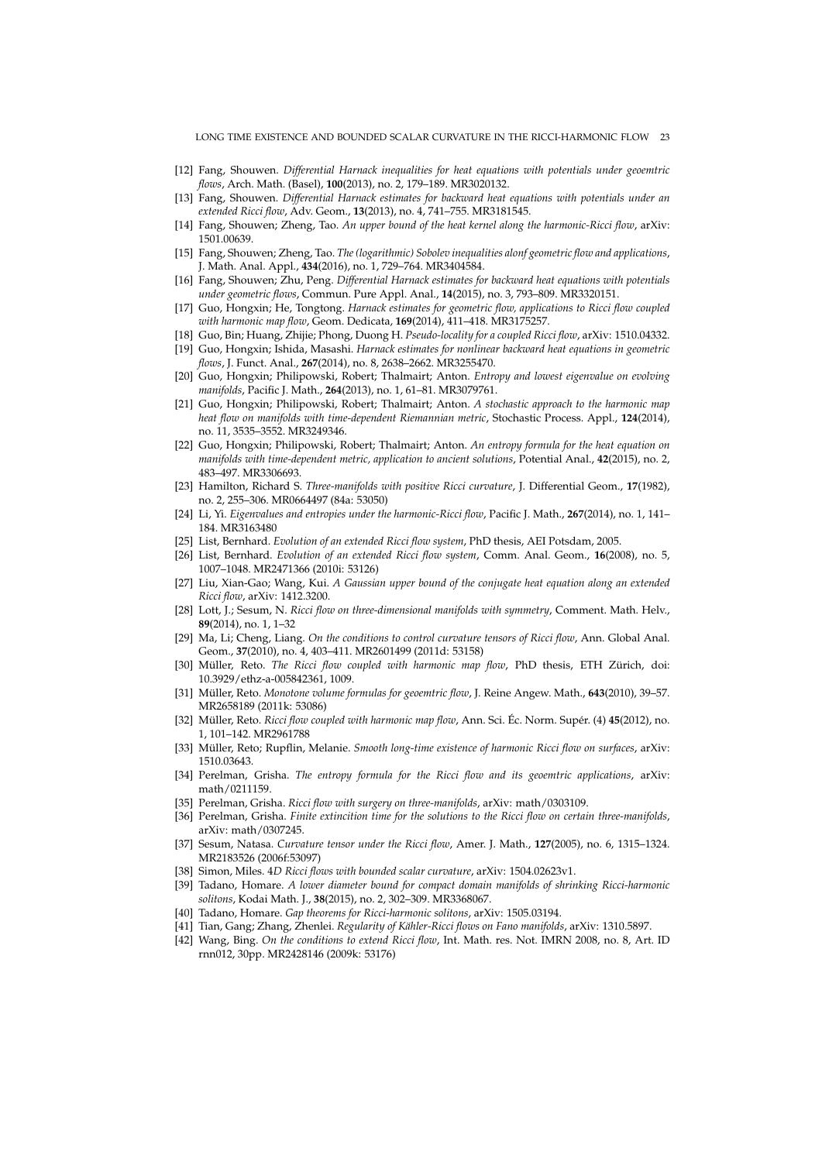- [12] Fang, Shouwen. *Differential Harnack inequalities for heat equations with potentials under geoemtric flows*, Arch. Math. (Basel), **100**(2013), no. 2, 179–189. MR3020132.
- [13] Fang, Shouwen. *Differential Harnack estimates for backward heat equations with potentials under an extended Ricci flow*, Adv. Geom., **13**(2013), no. 4, 741–755. MR3181545.
- [14] Fang, Shouwen; Zheng, Tao. *An upper bound of the heat kernel along the harmonic-Ricci flow*, arXiv: 1501.00639.
- [15] Fang, Shouwen; Zheng, Tao. *The (logarithmic) Sobolev inequalities alonf geometric flow and applications*, J. Math. Anal. Appl., **434**(2016), no. 1, 729–764. MR3404584.
- [16] Fang, Shouwen; Zhu, Peng. *Differential Harnack estimates for backward heat equations with potentials under geometric flows*, Commun. Pure Appl. Anal., **14**(2015), no. 3, 793–809. MR3320151.
- [17] Guo, Hongxin; He, Tongtong. *Harnack estimates for geometric flow, applications to Ricci flow coupled with harmonic map flow*, Geom. Dedicata, **169**(2014), 411–418. MR3175257.
- [18] Guo, Bin; Huang, Zhijie; Phong, Duong H. *Pseudo-locality for a coupled Ricci flow*, arXiv: 1510.04332. [19] Guo, Hongxin; Ishida, Masashi. *Harnack estimates for nonlinear backward heat equations in geometric*
- *flows*, J. Funct. Anal., **267**(2014), no. 8, 2638–2662. MR3255470. [20] Guo, Hongxin; Philipowski, Robert; Thalmairt; Anton. *Entropy and lowest eigenvalue on evolving manifolds*, Pacific J. Math., **264**(2013), no. 1, 61–81. MR3079761.
- [21] Guo, Hongxin; Philipowski, Robert; Thalmairt; Anton. *A stochastic approach to the harmonic map heat flow on manifolds with time-dependent Riemannian metric*, Stochastic Process. Appl., **124**(2014), no. 11, 3535–3552. MR3249346.
- [22] Guo, Hongxin; Philipowski, Robert; Thalmairt; Anton. *An entropy formula for the heat equation on manifolds with time-dependent metric, application to ancient solutions*, Potential Anal., **42**(2015), no. 2, 483–497. MR3306693.
- [23] Hamilton, Richard S. *Three-manifolds with positive Ricci curvature*, J. Differential Geom., **17**(1982), no. 2, 255–306. MR0664497 (84a: 53050)
- [24] Li, Yi. *Eigenvalues and entropies under the harmonic-Ricci flow*, Pacific J. Math., **267**(2014), no. 1, 141– 184. MR3163480
- [25] List, Bernhard. *Evolution of an extended Ricci flow system*, PhD thesis, AEI Potsdam, 2005.
- [26] List, Bernhard. *Evolution of an extended Ricci flow system*, Comm. Anal. Geom., **16**(2008), no. 5, 1007–1048. MR2471366 (2010i: 53126)
- [27] Liu, Xian-Gao; Wang, Kui. *A Gaussian upper bound of the conjugate heat equation along an extended Ricci flow*, arXiv: 1412.3200.
- [28] Lott, J.; Sesum, N. *Ricci flow on three-dimensional manifolds with symmetry*, Comment. Math. Helv., **89**(2014), no. 1, 1–32
- [29] Ma, Li; Cheng, Liang. *On the conditions to control curvature tensors of Ricci flow*, Ann. Global Anal. Geom., **37**(2010), no. 4, 403–411. MR2601499 (2011d: 53158)
- [30] Müller, Reto. The Ricci flow coupled with harmonic map flow, PhD thesis, ETH Zürich, doi: 10.3929/ethz-a-005842361, 1009.
- [31] Müller, Reto. Monotone volume formulas for geoemtric flow, J. Reine Angew. Math., 643(2010), 39-57. MR2658189 (2011k: 53086)
- [32] Müller, Reto. Ricci flow coupled with harmonic map flow, Ann. Sci. Éc. Norm. Supér. (4) 45(2012), no. 1, 101–142. MR2961788
- [33] Müller, Reto; Rupflin, Melanie. *Smooth long-time existence of harmonic Ricci flow on surfaces*, arXiv: 1510.03643.
- [34] Perelman, Grisha. *The entropy formula for the Ricci flow and its geoemtric applications*, arXiv: math/0211159.
- [35] Perelman, Grisha. *Ricci flow with surgery on three-manifolds*, arXiv: math/0303109.
- [36] Perelman, Grisha. *Finite extincition time for the solutions to the Ricci flow on certain three-manifolds*, arXiv: math/0307245.
- [37] Sesum, Natasa. *Curvature tensor under the Ricci flow*, Amer. J. Math., **127**(2005), no. 6, 1315–1324. MR2183526 (2006f:53097)
- [38] Simon, Miles. 4*D Ricci flows with bounded scalar curvature*, arXiv: 1504.02623v1.
- [39] Tadano, Homare. *A lower diameter bound for compact domain manifolds of shrinking Ricci-harmonic solitons*, Kodai Math. J., **38**(2015), no. 2, 302–309. MR3368067.
- [40] Tadano, Homare. *Gap theorems for Ricci-harmonic solitons*, arXiv: 1505.03194.
- [41] Tian, Gang; Zhang, Zhenlei. Regularity of Kähler-Ricci flows on Fano manifolds, arXiv: 1310.5897.
- [42] Wang, Bing. *On the conditions to extend Ricci flow*, Int. Math. res. Not. IMRN 2008, no. 8, Art. ID rnn012, 30pp. MR2428146 (2009k: 53176)